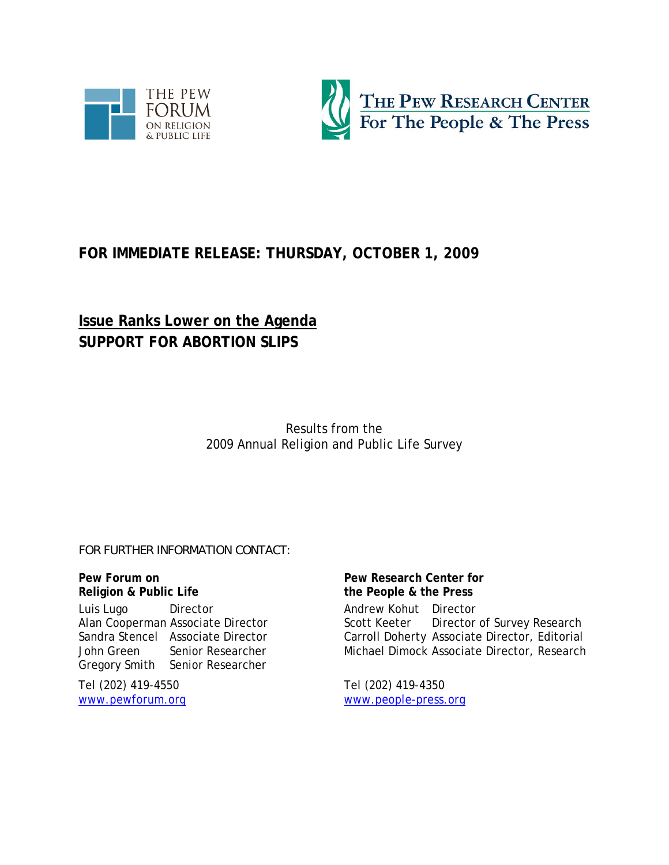



# **FOR IMMEDIATE RELEASE: THURSDAY, OCTOBER 1, 2009**

# **Issue Ranks Lower on the Agenda SUPPORT FOR ABORTION SLIPS**

Results from the 2009 Annual Religion and Public Life Survey

*FOR FURTHER INFORMATION CONTACT:*

**Pew Forum on Religion & Public Life** 

Luis Lugo Director Alan Cooperman Associate Director Sandra Stencel Associate Director John Green Senior Researcher Gregory Smith Senior Researcher

Tel (202) 419-4550 www.pewforum.org **Pew Research Center for the People & the Press**  Andrew Kohut Director Scott Keeter Director of Survey Research Carroll Doherty Associate Director, Editorial Michael Dimock Associate Director, Research

Tel (202) 419-4350 www.people-press.org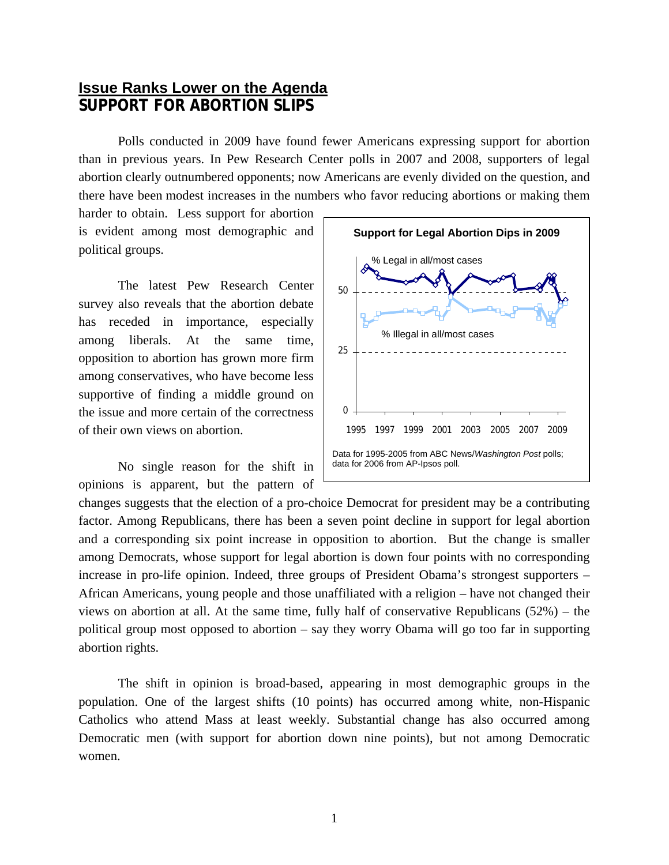# **Issue Ranks Lower on the Agenda SUPPORT FOR ABORTION SLIPS**

Polls conducted in 2009 have found fewer Americans expressing support for abortion than in previous years. In Pew Research Center polls in 2007 and 2008, supporters of legal abortion clearly outnumbered opponents; now Americans are evenly divided on the question, and there have been modest increases in the numbers who favor reducing abortions or making them

harder to obtain. Less support for abortion is evident among most demographic and political groups.

The latest Pew Research Center survey also reveals that the abortion debate has receded in importance, especially among liberals. At the same time, opposition to abortion has grown more firm among conservatives, who have become less supportive of finding a middle ground on the issue and more certain of the correctness of their own views on abortion.

No single reason for the shift in opinions is apparent, but the pattern of



changes suggests that the election of a pro-choice Democrat for president may be a contributing factor. Among Republicans, there has been a seven point decline in support for legal abortion and a corresponding six point increase in opposition to abortion. But the change is smaller among Democrats, whose support for legal abortion is down four points with no corresponding increase in pro-life opinion. Indeed, three groups of President Obama's strongest supporters – African Americans, young people and those unaffiliated with a religion – have not changed their views on abortion at all. At the same time, fully half of conservative Republicans (52%) – the political group most opposed to abortion – say they worry Obama will go too far in supporting abortion rights.

The shift in opinion is broad-based, appearing in most demographic groups in the population. One of the largest shifts (10 points) has occurred among white, non-Hispanic Catholics who attend Mass at least weekly. Substantial change has also occurred among Democratic men (with support for abortion down nine points), but not among Democratic women.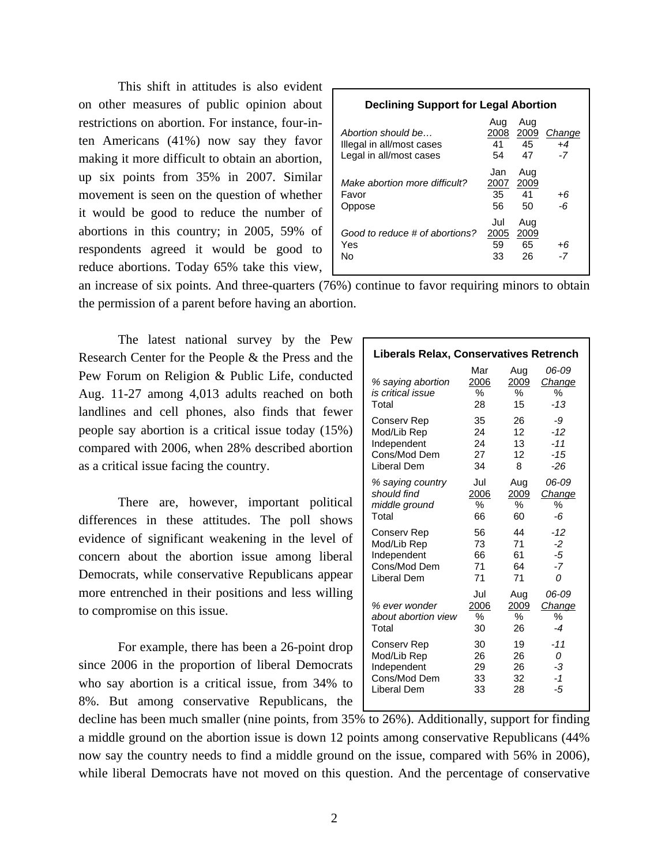This shift in attitudes is also evident on other measures of public opinion about restrictions on abortion. For instance, four-inten Americans (41%) now say they favor making it more difficult to obtain an abortion, up six points from 35% in 2007. Similar movement is seen on the question of whether it would be good to reduce the number of abortions in this country; in 2005, 59% of respondents agreed it would be good to reduce abortions. Today 65% take this view,

| <b>Declining Support for Legal Abortion</b>                                |                         |                         |                        |  |  |
|----------------------------------------------------------------------------|-------------------------|-------------------------|------------------------|--|--|
| Abortion should be<br>Illegal in all/most cases<br>Legal in all/most cases | Aug<br>2008<br>41<br>54 | Aug<br>2009<br>45<br>47 | Change<br>$+4$<br>$-7$ |  |  |
| Make abortion more difficult?<br>Favor<br>Oppose                           | Jan<br>2007<br>35<br>56 | Aug<br>2009<br>41<br>50 | +6<br>-6               |  |  |
| Good to reduce # of abortions?<br>Yes<br>N٥                                | Jul<br>2005<br>59<br>33 | Aug<br>2009<br>65<br>26 | +6<br>-7               |  |  |

an increase of six points. And three-quarters (76%) continue to favor requiring minors to obtain the permission of a parent before having an abortion.

The latest national survey by the Pew Research Center for the People & the Press and the Pew Forum on Religion & Public Life, conducted Aug. 11-27 among 4,013 adults reached on both landlines and cell phones, also finds that fewer people say abortion is a critical issue today (15%) compared with 2006, when 28% described abortion as a critical issue facing the country.

There are, however, important political differences in these attitudes. The poll shows evidence of significant weakening in the level of concern about the abortion issue among liberal Democrats, while conservative Republicans appear more entrenched in their positions and less willing to compromise on this issue.

For example, there has been a 26-point drop since 2006 in the proportion of liberal Democrats who say abortion is a critical issue, from 34% to 8%. But among conservative Republicans, the

| <b>Liberals Relax, Conservatives Retrench</b>   |                        |                           |                              |
|-------------------------------------------------|------------------------|---------------------------|------------------------------|
| % saying abortion<br>is critical issue<br>Total | Mar<br>2006<br>℅<br>28 | Aug<br>2009<br>%<br>15    | 06-09<br>Change<br>℅<br>-13  |
| Conserv Rep                                     | 35                     | 26                        | -9                           |
| Mod/Lib Rep                                     | 24                     | 12                        | $-12$                        |
| Independent                                     | 24                     | 13                        | $-11$                        |
| Cons/Mod Dem                                    | 27                     | 12                        | $-15$                        |
| Liberal Dem                                     | 34                     | 8                         | -26                          |
| % saying country                                | Jul                    | Aug                       | 06-09                        |
| should find                                     | 2006                   | 2009                      | Change                       |
| middle ground                                   | %                      | %                         | ℅                            |
| Total                                           | 66                     | 60                        | -6                           |
| Conserv Rep                                     | 56                     | 44                        | -12                          |
| Mod/Lib Rep                                     | 73                     | 71                        | $-2$                         |
| Independent                                     | 66                     | 61                        | -5                           |
| Cons/Mod Dem                                    | 71                     | 64                        | -7                           |
| Liberal Dem                                     | 71                     | 71                        | 0                            |
| % ever wonder<br>about abortion view<br>Total   | Jul<br>2006<br>%<br>30 | Aug<br>2009<br>$\%$<br>26 | 06-09<br>Change<br>%<br>$-4$ |
| Conserv Rep                                     | 30                     | 19                        | $-11$                        |
| Mod/Lib Rep                                     | 26                     | 26                        | 0                            |
| Independent                                     | 29                     | 26                        | -3                           |
| Cons/Mod Dem                                    | 33                     | 32                        | $-1$                         |
| Liberal Dem                                     | 33                     | 28                        | -5                           |

decline has been much smaller (nine points, from 35% to 26%). Additionally, support for finding a middle ground on the abortion issue is down 12 points among conservative Republicans (44% now say the country needs to find a middle ground on the issue, compared with 56% in 2006), while liberal Democrats have not moved on this question. And the percentage of conservative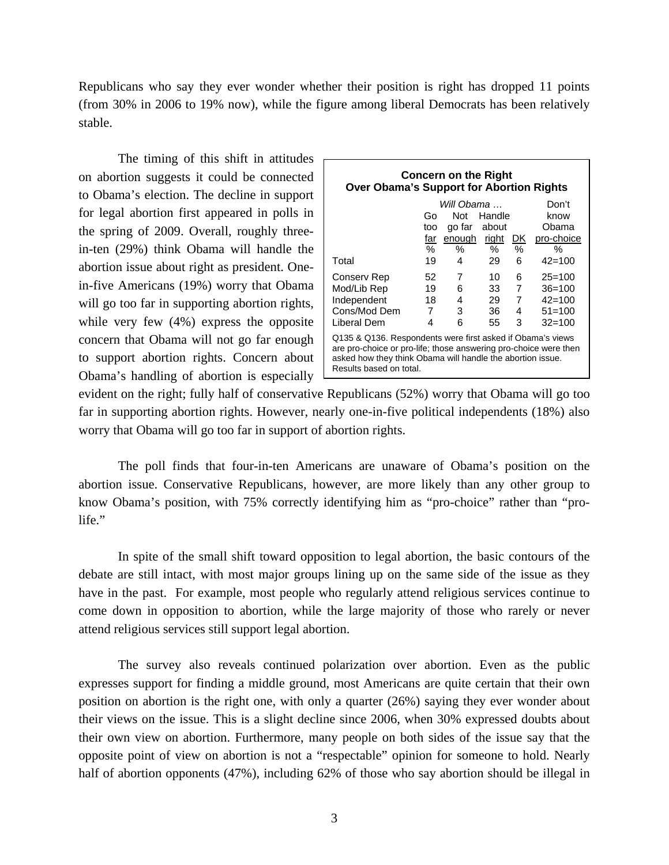Republicans who say they ever wonder whether their position is right has dropped 11 points (from 30% in 2006 to 19% now), while the figure among liberal Democrats has been relatively stable.

The timing of this shift in attitudes on abortion suggests it could be connected to Obama's election. The decline in support for legal abortion first appeared in polls in the spring of 2009. Overall, roughly threein-ten (29%) think Obama will handle the abortion issue about right as president. Onein-five Americans (19%) worry that Obama will go too far in supporting abortion rights, while very few (4%) express the opposite concern that Obama will not go far enough to support abortion rights. Concern about Obama's handling of abortion is especially  $\Box$ 

| <b>Concern on the Right</b><br><b>Over Obama's Support for Abortion Rights</b>                                                                                                                                          |                       |        |        |                |            |  |  |
|-------------------------------------------------------------------------------------------------------------------------------------------------------------------------------------------------------------------------|-----------------------|--------|--------|----------------|------------|--|--|
|                                                                                                                                                                                                                         | Will Obama …<br>Don't |        |        |                |            |  |  |
|                                                                                                                                                                                                                         | G٥                    | Not    | Handle |                | know       |  |  |
|                                                                                                                                                                                                                         | too                   | go far | about  |                | Obama      |  |  |
|                                                                                                                                                                                                                         | far                   | enough | right  | <u>DK</u>      | pro-choice |  |  |
|                                                                                                                                                                                                                         | ℅                     | ℅      | $\%$   | $\%$           | ℅          |  |  |
| Total                                                                                                                                                                                                                   | 19                    | 4      | 29     | 6              | $42 - 100$ |  |  |
| Conserv Rep                                                                                                                                                                                                             | 52                    | 7      | 10     | 6              | $25=100$   |  |  |
| Mod/Lib Rep                                                                                                                                                                                                             | 19                    | 6      | 33     | $\overline{7}$ | $36 = 100$ |  |  |
| Independent                                                                                                                                                                                                             | 18                    | 4      | 29     | 7              | $42 = 100$ |  |  |
| Cons/Mod Dem                                                                                                                                                                                                            | 7                     | 3      | 36     | 4              | $51 = 100$ |  |  |
| Liberal Dem                                                                                                                                                                                                             | 4                     | 6      | 55     | 3              | $32 = 100$ |  |  |
| Q135 & Q136. Respondents were first asked if Obama's views<br>are pro-choice or pro-life; those answering pro-choice were then<br>asked how they think Obama will handle the abortion issue.<br>Results based on total. |                       |        |        |                |            |  |  |

evident on the right; fully half of conservative Republicans (52%) worry that Obama will go too far in supporting abortion rights. However, nearly one-in-five political independents (18%) also worry that Obama will go too far in support of abortion rights.

The poll finds that four-in-ten Americans are unaware of Obama's position on the abortion issue. Conservative Republicans, however, are more likely than any other group to know Obama's position, with 75% correctly identifying him as "pro-choice" rather than "prolife."

 In spite of the small shift toward opposition to legal abortion, the basic contours of the debate are still intact, with most major groups lining up on the same side of the issue as they have in the past. For example, most people who regularly attend religious services continue to come down in opposition to abortion, while the large majority of those who rarely or never attend religious services still support legal abortion.

 The survey also reveals continued polarization over abortion. Even as the public expresses support for finding a middle ground, most Americans are quite certain that their own position on abortion is the right one, with only a quarter (26%) saying they ever wonder about their views on the issue. This is a slight decline since 2006, when 30% expressed doubts about their own view on abortion. Furthermore, many people on both sides of the issue say that the opposite point of view on abortion is not a "respectable" opinion for someone to hold. Nearly half of abortion opponents (47%), including 62% of those who say abortion should be illegal in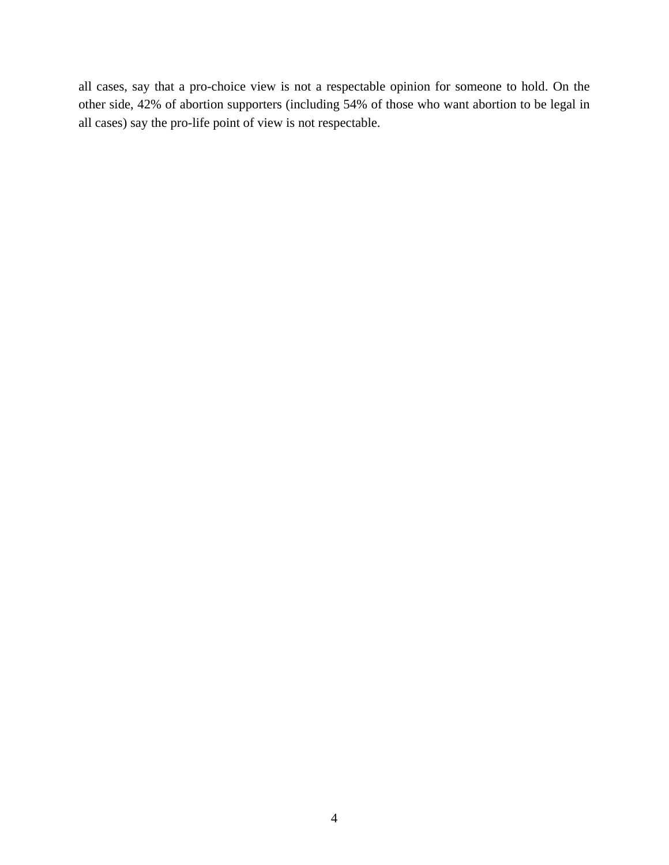all cases, say that a pro-choice view is not a respectable opinion for someone to hold. On the other side, 42% of abortion supporters (including 54% of those who want abortion to be legal in all cases) say the pro-life point of view is not respectable.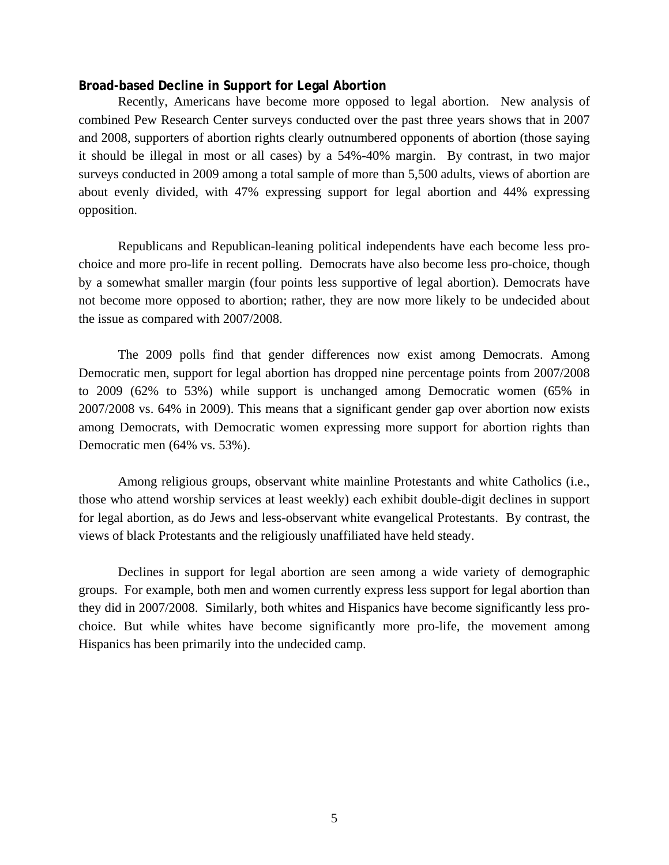# **Broad-based Decline in Support for Legal Abortion**

Recently, Americans have become more opposed to legal abortion. New analysis of combined Pew Research Center surveys conducted over the past three years shows that in 2007 and 2008, supporters of abortion rights clearly outnumbered opponents of abortion (those saying it should be illegal in most or all cases) by a 54%-40% margin. By contrast, in two major surveys conducted in 2009 among a total sample of more than 5,500 adults, views of abortion are about evenly divided, with 47% expressing support for legal abortion and 44% expressing opposition.

 Republicans and Republican-leaning political independents have each become less prochoice and more pro-life in recent polling. Democrats have also become less pro-choice, though by a somewhat smaller margin (four points less supportive of legal abortion). Democrats have not become more opposed to abortion; rather, they are now more likely to be undecided about the issue as compared with 2007/2008.

 The 2009 polls find that gender differences now exist among Democrats. Among Democratic men, support for legal abortion has dropped nine percentage points from 2007/2008 to 2009 (62% to 53%) while support is unchanged among Democratic women (65% in 2007/2008 vs. 64% in 2009). This means that a significant gender gap over abortion now exists among Democrats, with Democratic women expressing more support for abortion rights than Democratic men (64% vs. 53%).

 Among religious groups, observant white mainline Protestants and white Catholics (i.e., those who attend worship services at least weekly) each exhibit double-digit declines in support for legal abortion, as do Jews and less-observant white evangelical Protestants. By contrast, the views of black Protestants and the religiously unaffiliated have held steady.

 Declines in support for legal abortion are seen among a wide variety of demographic groups. For example, both men and women currently express less support for legal abortion than they did in 2007/2008. Similarly, both whites and Hispanics have become significantly less prochoice. But while whites have become significantly more pro-life, the movement among Hispanics has been primarily into the undecided camp.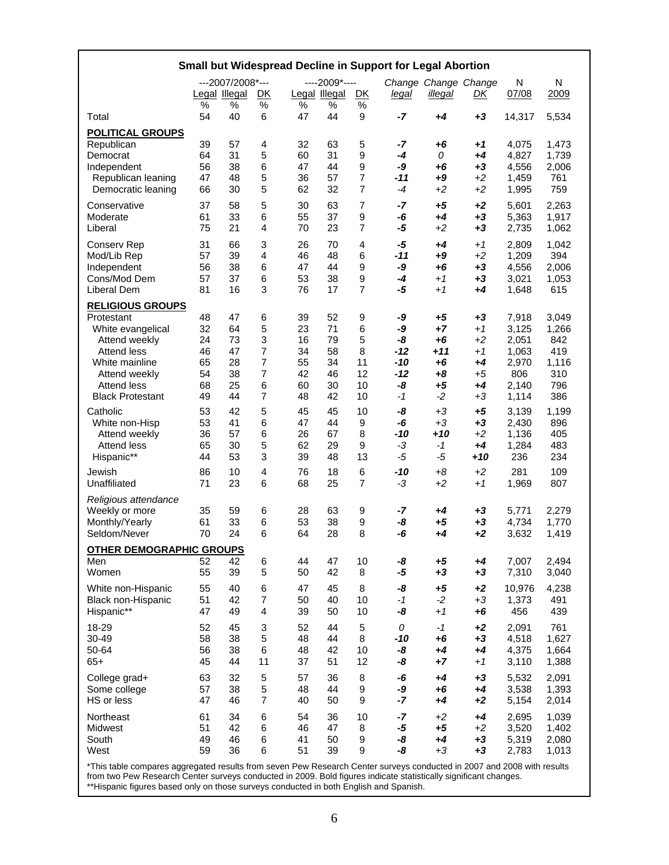| Small but Widespread Decline in Support for Legal Abortion                                                                                                                            |                                              |                                              |                                                   |                                              |                                              |                                           |                                                         |                                                               |                                                          |                                                                    |                                                            |
|---------------------------------------------------------------------------------------------------------------------------------------------------------------------------------------|----------------------------------------------|----------------------------------------------|---------------------------------------------------|----------------------------------------------|----------------------------------------------|-------------------------------------------|---------------------------------------------------------|---------------------------------------------------------------|----------------------------------------------------------|--------------------------------------------------------------------|------------------------------------------------------------|
|                                                                                                                                                                                       | Legal Illegal                                | ---2007/2008 *---                            | <u>DK</u>                                         |                                              | ----2009 *----<br>Legal Illegal              | <u>DK</u>                                 | <u>legal</u>                                            | Change Change Change<br>illegal                               | <u>DК</u>                                                | N<br>07/08                                                         | Ν<br>2009                                                  |
| Total                                                                                                                                                                                 | $\%$<br>54                                   | %<br>40                                      | $\%$<br>6                                         | $\frac{1}{2}$<br>47                          | %<br>44                                      | $\%$<br>9                                 | $-7$                                                    | $+4$                                                          | $+3$                                                     | 14,317                                                             | 5,534                                                      |
| <b>POLITICAL GROUPS</b><br>Republican<br>Democrat<br>Independent<br>Republican leaning<br>Democratic leaning                                                                          | 39<br>64<br>56<br>47<br>66                   | 57<br>31<br>38<br>48<br>30                   | 4<br>5<br>6<br>5<br>5                             | 32<br>60<br>47<br>36<br>62                   | 63<br>31<br>44<br>57<br>32                   | 5<br>9<br>9<br>7<br>$\overline{7}$        | -7<br>$-4$<br>-9<br>$-11$<br>$-4$                       | +6<br>0<br>$+6$<br>$+9$<br>$+2$                               | +1<br>$+4$<br>$+3$<br>$+2$<br>$+2$                       | 4,075<br>4,827<br>4,556<br>1,459<br>1,995                          | 1,473<br>1,739<br>2,006<br>761<br>759                      |
| Conservative<br>Moderate<br>Liberal                                                                                                                                                   | 37<br>61<br>75                               | 58<br>33<br>21                               | 5<br>6<br>4                                       | 30<br>55<br>70                               | 63<br>37<br>23                               | 7<br>9<br>7                               | $-7$<br>-6<br>-5                                        | $+5$<br>$+4$<br>$+2$                                          | $+2$<br>$+3$<br>$+3$                                     | 5,601<br>5,363<br>2,735                                            | 2,263<br>1,917<br>1,062                                    |
| <b>Conserv Rep</b><br>Mod/Lib Rep<br>Independent<br>Cons/Mod Dem<br><b>Liberal Dem</b>                                                                                                | 31<br>57<br>56<br>57<br>81                   | 66<br>39<br>38<br>37<br>16                   | 3<br>$\overline{4}$<br>6<br>6<br>3                | 26<br>46<br>47<br>53<br>76                   | 70<br>48<br>44<br>38<br>17                   | 4<br>6<br>9<br>9<br>7                     | -5<br>-11<br>-9<br>-4<br>-5                             | $+4$<br>$+9$<br>$+6$<br>$+1$<br>$+1$                          | $+1$<br>$+2$<br>$+3$<br>$+3$<br>+4                       | 2,809<br>1,209<br>4,556<br>3,021<br>1,648                          | 1,042<br>394<br>2,006<br>1,053<br>615                      |
| <b>RELIGIOUS GROUPS</b><br>Protestant<br>White evangelical<br>Attend weekly<br><b>Attend less</b><br>White mainline<br>Attend weekly<br><b>Attend less</b><br><b>Black Protestant</b> | 48<br>32<br>24<br>46<br>65<br>54<br>68<br>49 | 47<br>64<br>73<br>47<br>28<br>38<br>25<br>44 | 6<br>5<br>3<br>7<br>$\overline{7}$<br>7<br>6<br>7 | 39<br>23<br>16<br>34<br>55<br>42<br>60<br>48 | 52<br>71<br>79<br>58<br>34<br>46<br>30<br>42 | 9<br>6<br>5<br>8<br>11<br>12<br>10<br>10  | -9<br>-9<br>-8<br>$-12$<br>$-10$<br>$-12$<br>-8<br>$-1$ | $+5$<br>$+7$<br>$+6$<br>$+11$<br>$+6$<br>$+8$<br>$+5$<br>$-2$ | $+3$<br>$+1$<br>$+2$<br>$+1$<br>+4<br>$+5$<br>+4<br>$+3$ | 7,918<br>3,125<br>2,051<br>1,063<br>2,970<br>806<br>2,140<br>1,114 | 3,049<br>1,266<br>842<br>419<br>1,116<br>310<br>796<br>386 |
| Catholic<br>White non-Hisp<br>Attend weekly<br>Attend less<br>Hispanic**                                                                                                              | 53<br>53<br>36<br>65<br>44                   | 42<br>41<br>57<br>30<br>53                   | 5<br>6<br>6<br>5<br>3                             | 45<br>47<br>26<br>62<br>39                   | 45<br>44<br>67<br>29<br>48                   | 10<br>9<br>8<br>9<br>13                   | -8<br>-6<br>-10<br>$-3$<br>$-5$                         | $+3$<br>$+3$<br>$+10$<br>$-1$<br>$-5$                         | $+5$<br>$+3$<br>$+2$<br>+4<br>+10                        | 3,139<br>2,430<br>1,136<br>1,284<br>236                            | 1,199<br>896<br>405<br>483<br>234                          |
| Jewish<br>Unaffiliated                                                                                                                                                                | 86<br>71                                     | 10<br>23                                     | $\overline{4}$<br>6                               | 76<br>68                                     | 18<br>25                                     | 6<br>7                                    | $-10$<br>$-3$                                           | $+8$<br>$+2$                                                  | $+2$<br>$+1$                                             | 281<br>1,969                                                       | 109<br>807                                                 |
| Religious attendance<br>Weekly or more<br>Monthly/Yearly<br>Seldom/Never                                                                                                              | 35<br>61<br>70                               | 59<br>33<br>24                               | 6<br>6<br>6                                       | 28<br>53<br>64                               | 63<br>38<br>28                               | 9<br>9<br>8                               | -7<br>-8<br>-6                                          | +4<br>$+5$<br>+4                                              | $+3$<br>$+3$<br>$+2$                                     | 5,771<br>4,734<br>3,632                                            | 2,279<br>1,770<br>1,419                                    |
| <b>OTHER DEMOGRAPHIC GROUPS</b><br>Men                                                                                                                                                | 52                                           | 42                                           | 6                                                 | 44                                           | 47                                           | 10                                        | -8                                                      | $+5$                                                          | $+4$                                                     | 7,007                                                              | 2,494                                                      |
| Women                                                                                                                                                                                 | 55                                           | 39                                           | 5                                                 | 50                                           | 42                                           | 8                                         | -5                                                      | $+3$                                                          | $+3$                                                     | 7,310                                                              | 3,040                                                      |
| White non-Hispanic<br>Black non-Hispanic<br>Hispanic**                                                                                                                                | 55<br>51<br>47                               | 40<br>42<br>49                               | 6<br>$\overline{7}$<br>$\overline{4}$             | 47<br>50<br>39                               | 45<br>40<br>50                               | 8<br>10<br>10                             | -8<br>$-1$<br>-8                                        | $+5$<br>$-2$<br>$+1$                                          | $+2$<br>$+3$<br>$+6$                                     | 10,976<br>1,373<br>456                                             | 4,238<br>491<br>439                                        |
| 18-29<br>30-49<br>50-64<br>$65+$                                                                                                                                                      | 52<br>58<br>56<br>45                         | 45<br>38<br>38<br>44                         | 3<br>5<br>6<br>11                                 | 52<br>48<br>48<br>37                         | 44<br>44<br>42<br>51                         | 5<br>8<br>10<br>12                        | 0<br>-10<br>-8<br>-8                                    | $-1$<br>$+6$<br>$+4$<br>$+7$                                  | $+2$<br>$+3$<br>$+4$<br>$+1$                             | 2,091<br>4,518<br>4,375<br>3,110                                   | 761<br>1,627<br>1,664<br>1,388                             |
| College grad+<br>Some college<br>HS or less                                                                                                                                           | 63<br>57<br>47                               | 32<br>38<br>46                               | 5<br>5<br>$\overline{7}$                          | 57<br>48<br>40                               | 36<br>44<br>50                               | 8<br>$\boldsymbol{9}$<br>$\boldsymbol{9}$ | -6<br>-9<br>$-7$                                        | $+4$<br>$+6$<br>$+4$                                          | $+3$<br>$+4$<br>$+2$                                     | 5,532<br>3,538<br>5,154                                            | 2,091<br>1,393<br>2,014                                    |
| Northeast<br>Midwest<br>South<br>West<br>*This table compares angregated results from seven Pew Research Center surveys conducted in 2007 and 2008 with results                       | 61<br>51<br>49<br>59                         | 34<br>42<br>46<br>36                         | 6<br>6<br>6<br>6                                  | 54<br>46<br>41<br>51                         | 36<br>47<br>50<br>39                         | 10<br>8<br>9<br>9                         | -7<br>$-5$<br>-8<br>-8                                  | $+2$<br>$+5$<br>$+4$<br>$+3$                                  | $+4$<br>$+2$<br>$+3$<br>$+3$                             | 2,695<br>3,520<br>5,319<br>2,783                                   | 1,039<br>1,402<br>2,080<br>1,013                           |

\*This table compares aggregated results from seven Pew Research Center surveys conducted in 2007 and 2008 with results from two Pew Research Center surveys conducted in 2009. Bold figures indicate statistically significant changes. \*\*Hispanic figures based only on those surveys conducted in both English and Spanish.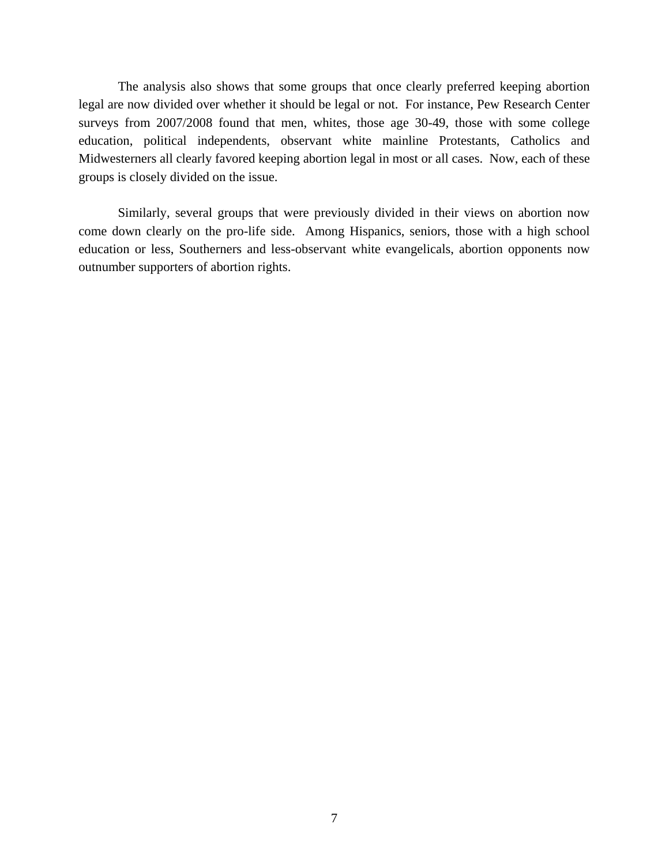The analysis also shows that some groups that once clearly preferred keeping abortion legal are now divided over whether it should be legal or not. For instance, Pew Research Center surveys from 2007/2008 found that men, whites, those age 30-49, those with some college education, political independents, observant white mainline Protestants, Catholics and Midwesterners all clearly favored keeping abortion legal in most or all cases. Now, each of these groups is closely divided on the issue.

 Similarly, several groups that were previously divided in their views on abortion now come down clearly on the pro-life side. Among Hispanics, seniors, those with a high school education or less, Southerners and less-observant white evangelicals, abortion opponents now outnumber supporters of abortion rights.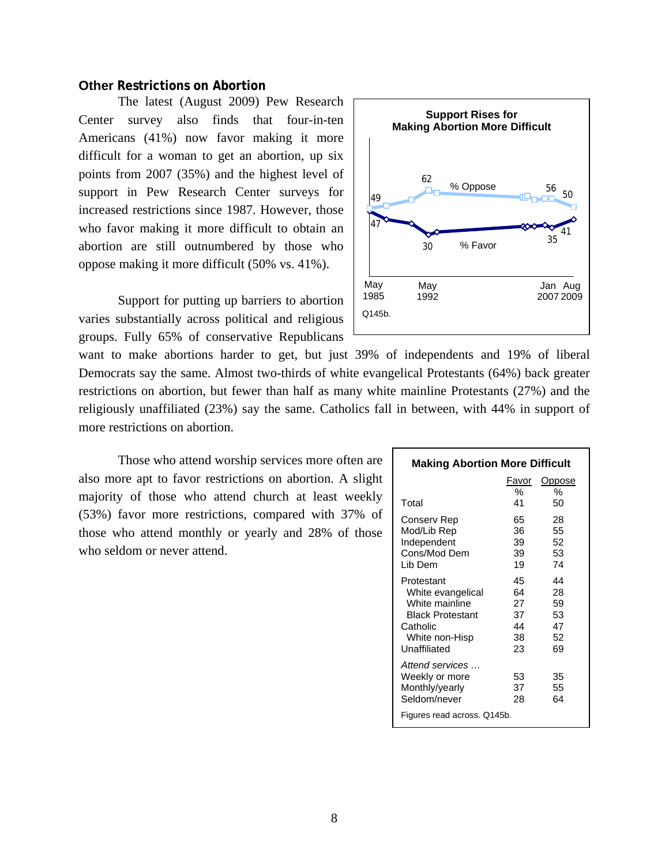### **Other Restrictions on Abortion**

The latest (August 2009) Pew Research Center survey also finds that four-in-ten Americans (41%) now favor making it more difficult for a woman to get an abortion, up six points from 2007 (35%) and the highest level of support in Pew Research Center surveys for increased restrictions since 1987. However, those who favor making it more difficult to obtain an abortion are still outnumbered by those who oppose making it more difficult (50% vs. 41%).

Support for putting up barriers to abortion varies substantially across political and religious groups. Fully 65% of conservative Republicans



want to make abortions harder to get, but just 39% of independents and 19% of liberal Democrats say the same. Almost two-thirds of white evangelical Protestants (64%) back greater restrictions on abortion, but fewer than half as many white mainline Protestants (27%) and the religiously unaffiliated (23%) say the same. Catholics fall in between, with 44% in support of more restrictions on abortion.

Those who attend worship services more often are also more apt to favor restrictions on abortion. A slight majority of those who attend church at least weekly (53%) favor more restrictions, compared with 37% of those who attend monthly or yearly and 28% of those who seldom or never attend.

| <b>Making Abortion More Difficult</b> |       |               |  |  |  |
|---------------------------------------|-------|---------------|--|--|--|
|                                       | Favor | <b>Oppose</b> |  |  |  |
|                                       | %     | %             |  |  |  |
| Total                                 | 41    | 50            |  |  |  |
| Conserv Rep                           | 65    | 28            |  |  |  |
| Mod/Lib Rep                           | 36    | 55            |  |  |  |
| Independent                           | 39    | 52            |  |  |  |
| Cons/Mod Dem                          | 39    | 53            |  |  |  |
| Lib Dem                               | 19    | 74            |  |  |  |
| Protestant                            | 45    | 44            |  |  |  |
| White evangelical                     | 64    | 28            |  |  |  |
| White mainline                        | 27    | 59            |  |  |  |
| <b>Black Protestant</b>               | 37    | 53            |  |  |  |
| Catholic                              | 44    | 47            |  |  |  |
| White non-Hisp                        | 38    | 52            |  |  |  |
| Unaffiliated                          | 23    | 69            |  |  |  |
| Attend services                       |       |               |  |  |  |
| Weekly or more                        | 53    | 35            |  |  |  |
| Monthly/yearly                        | 37    | 55            |  |  |  |
| Seldom/never                          | 28    | 64            |  |  |  |
| Figures read across. Q145b.           |       |               |  |  |  |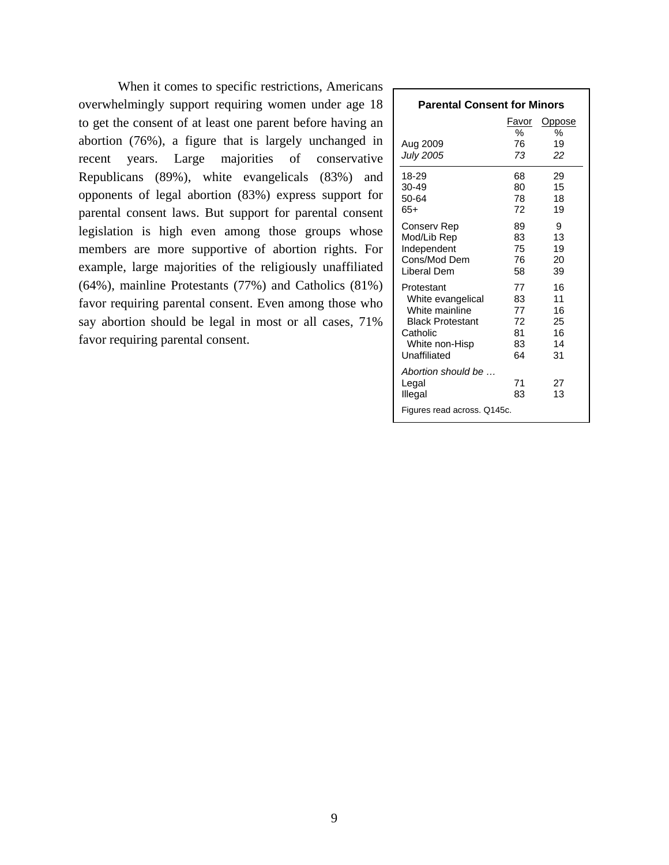When it comes to specific restrictions, Americans overwhelmingly support requiring women under age 18 to get the consent of at least one parent before having an abortion (76%), a figure that is largely unchanged in recent years. Large majorities of conservative Republicans (89%), white evangelicals (83%) and opponents of legal abortion (83%) express support for parental consent laws. But support for parental consent legislation is high even among those groups whose members are more supportive of abortion rights. For example, large majorities of the religiously unaffiliated (64%), mainline Protestants (77%) and Catholics (81%) favor requiring parental consent. Even among those who say abortion should be legal in most or all cases, 71% favor requiring parental consent.

| <b>Parental Consent for Minors</b>                                                                                         |                                        |                                        |  |  |  |
|----------------------------------------------------------------------------------------------------------------------------|----------------------------------------|----------------------------------------|--|--|--|
|                                                                                                                            | Favor                                  | Oppose                                 |  |  |  |
| Aug 2009<br><b>July 2005</b>                                                                                               | ℅<br>76<br>73                          | %<br>19<br>22                          |  |  |  |
| 18-29<br>30-49<br>50-64<br>65+                                                                                             | 68<br>80<br>78<br>72                   | 29<br>15<br>18<br>19                   |  |  |  |
| Conserv Rep<br>Mod/Lib Rep<br>Independent<br>Cons/Mod Dem<br>Liberal Dem                                                   | 89<br>83<br>75<br>76<br>58             | 9<br>13<br>19<br>20<br>39              |  |  |  |
| Protestant<br>White evangelical<br>White mainline<br><b>Black Protestant</b><br>Catholic<br>White non-Hisp<br>Unaffiliated | 77<br>83<br>77<br>72<br>81<br>83<br>64 | 16<br>11<br>16<br>25<br>16<br>14<br>31 |  |  |  |
| Abortion should be<br>Legal<br>Illegal<br>Figures read across. Q145c.                                                      | 71<br>83                               | 27<br>13                               |  |  |  |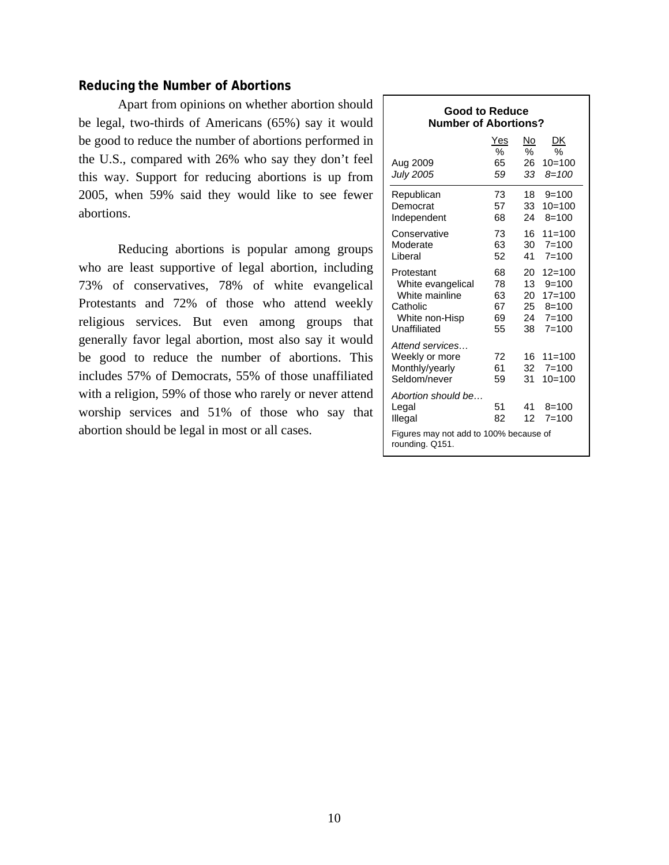# **Reducing the Number of Abortions**

Apart from opinions on whether abortion should be legal, two-thirds of Americans (65%) say it would be good to reduce the number of abortions performed in the U.S., compared with 26% who say they don't feel this way. Support for reducing abortions is up from 2005, when 59% said they would like to see fewer abortions.

Reducing abortions is popular among groups who are least supportive of legal abortion, including 73% of conservatives, 78% of white evangelical Protestants and 72% of those who attend weekly religious services. But even among groups that generally favor legal abortion, most also say it would be good to reduce the number of abortions. This includes 57% of Democrats, 55% of those unaffiliated with a religion, 59% of those who rarely or never attend worship services and 51% of those who say that abortion should be legal in most or all cases.

| <b>Good to Reduce</b><br><b>Number of Abortions?</b>                             |                |                 |                                     |  |  |
|----------------------------------------------------------------------------------|----------------|-----------------|-------------------------------------|--|--|
|                                                                                  | Yes            | No              | DK                                  |  |  |
|                                                                                  | %              | $\%$            | %                                   |  |  |
| Aug 2009                                                                         | 65             | 26              | $10=100$                            |  |  |
| <b>July 2005</b>                                                                 | 59             | 33              | $8 = 100$                           |  |  |
| Republican                                                                       | 73             | 18              | $9=100$                             |  |  |
| Democrat                                                                         | 57             | 33              | $10=100$                            |  |  |
| Independent                                                                      | 68             | 24              | $8 = 100$                           |  |  |
| Conservative                                                                     | 73             | 16              | $11 = 100$                          |  |  |
| Moderate                                                                         | 63             | 30              | $7 = 100$                           |  |  |
| Liberal                                                                          | 52             | 41              | $7 = 100$                           |  |  |
| Protestant                                                                       | 68             | 20              | $12 = 100$                          |  |  |
| White evangelical                                                                | 78             | 13 <sup>7</sup> | $9 = 100$                           |  |  |
| White mainline                                                                   | 63             | 20              | $17 = 100$                          |  |  |
| Catholic                                                                         | 67             | 25              | $8 = 100$                           |  |  |
| White non-Hisp                                                                   | 69             | 24              | $7 = 100$                           |  |  |
| Unaffiliated                                                                     | 55             | 38              | $7 = 100$                           |  |  |
| Attend services<br>Weekly or more<br>Monthly/yearly<br>Seldom/never              | 72<br>61<br>59 | 16<br>32<br>31  | $11 = 100$<br>$7 = 100$<br>$10=100$ |  |  |
| Abortion should be<br>Legal<br>Illegal<br>Figures may not add to 100% because of | 51<br>82       | 41<br>12        | $8 = 100$<br>$7 = 100$              |  |  |
| rounding. Q151.                                                                  |                |                 |                                     |  |  |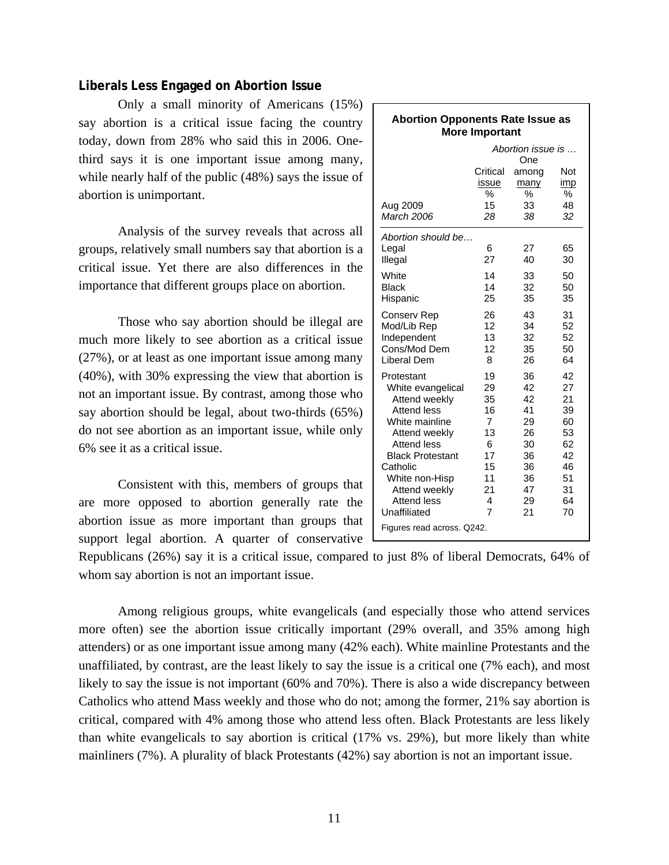# **Liberals Less Engaged on Abortion Issue**

Only a small minority of Americans (15%) say abortion is a critical issue facing the country today, down from 28% who said this in 2006. Onethird says it is one important issue among many, while nearly half of the public (48%) says the issue of abortion is unimportant.

 Analysis of the survey reveals that across all groups, relatively small numbers say that abortion is a critical issue. Yet there are also differences in the importance that different groups place on abortion.

 Those who say abortion should be illegal are much more likely to see abortion as a critical issue (27%), or at least as one important issue among many (40%), with 30% expressing the view that abortion is not an important issue. By contrast, among those who say abortion should be legal, about two-thirds (65%) do not see abortion as an important issue, while only 6% see it as a critical issue.

 Consistent with this, members of groups that are more opposed to abortion generally rate the abortion issue as more important than groups that support legal abortion. A quarter of conservative

| <b>Abortion Opponents Rate Issue as</b><br><b>More Important</b> |                |                   |          |  |  |
|------------------------------------------------------------------|----------------|-------------------|----------|--|--|
|                                                                  |                | Abortion issue is |          |  |  |
|                                                                  |                | One               |          |  |  |
|                                                                  | Critical       | among             | Not      |  |  |
|                                                                  | issue          | many              | imp      |  |  |
|                                                                  | %              | %                 | %        |  |  |
| Aug 2009                                                         | 15             | 33                | 48       |  |  |
| March 2006                                                       | 28             | 38.               | 32       |  |  |
| Abortion should be                                               |                |                   |          |  |  |
| Legal                                                            | 6              | 27                | 65       |  |  |
| Illegal                                                          | 27             | 40                | 30       |  |  |
| White                                                            | 14             | 33                | 50       |  |  |
| <b>Black</b>                                                     | 14             | 32                | 50       |  |  |
| Hispanic                                                         | 25             | 35                | 35       |  |  |
| Conserv Rep                                                      | 26             | 43                | 31       |  |  |
| Mod/Lib Rep                                                      | 12             | 34                | 52       |  |  |
| Independent                                                      | 13             | 32                | 52       |  |  |
| Cons/Mod Dem                                                     | 12             | 35                | 50       |  |  |
| Liberal Dem                                                      | 8              | 26                | 64       |  |  |
| Protestant                                                       | 19             | 36                | 42       |  |  |
| White evangelical                                                | 29             | 42                | 27       |  |  |
| Attend weekly                                                    | 35             | 42                | 21       |  |  |
| <b>Attend less</b>                                               | 16             | 41                | 39       |  |  |
| White mainline                                                   | 7              | 29                | 60       |  |  |
| Attend weekly                                                    | 13             | 26                | 53       |  |  |
| <b>Attend less</b>                                               | 6              | 30                | 62       |  |  |
| <b>Black Protestant</b><br>Catholic                              | 17<br>15       | 36<br>36          | 42<br>46 |  |  |
| White non-Hisp                                                   | 11             | 36                | 51       |  |  |
| Attend weekly                                                    | 21             | 47                | 31       |  |  |
| <b>Attend less</b>                                               | 4              | 29                | 64       |  |  |
| Unaffiliated                                                     | $\overline{7}$ | 21                | 70       |  |  |
| Figures read across. Q242.                                       |                |                   |          |  |  |

Republicans (26%) say it is a critical issue, compared to just 8% of liberal Democrats, 64% of whom say abortion is not an important issue.

 Among religious groups, white evangelicals (and especially those who attend services more often) see the abortion issue critically important (29% overall, and 35% among high attenders) or as one important issue among many (42% each). White mainline Protestants and the unaffiliated, by contrast, are the least likely to say the issue is a critical one (7% each), and most likely to say the issue is not important (60% and 70%). There is also a wide discrepancy between Catholics who attend Mass weekly and those who do not; among the former, 21% say abortion is critical, compared with 4% among those who attend less often. Black Protestants are less likely than white evangelicals to say abortion is critical (17% vs. 29%), but more likely than white mainliners (7%). A plurality of black Protestants (42%) say abortion is not an important issue.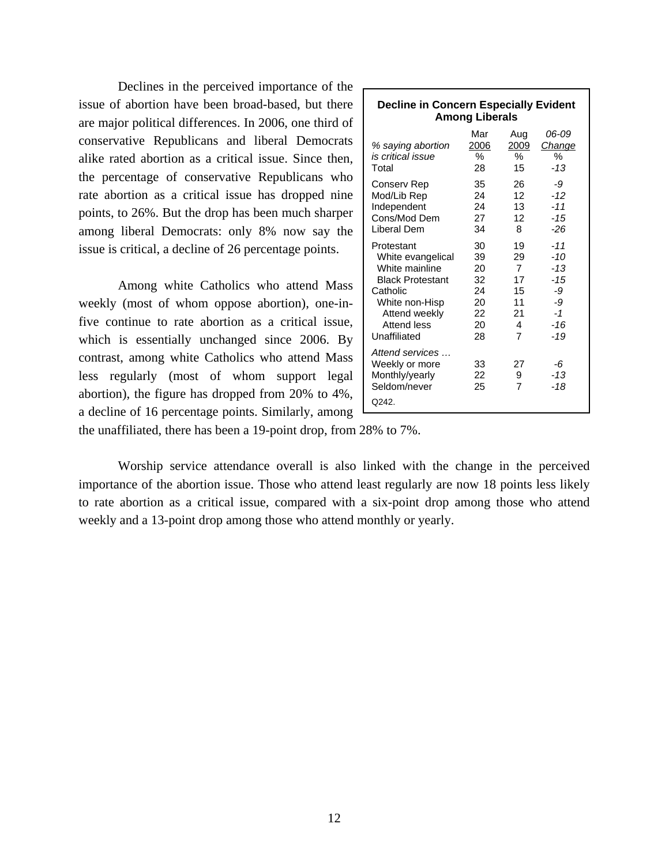Declines in the perceived importance of the issue of abortion have been broad-based, but there are major political differences. In 2006, one third of conservative Republicans and liberal Democrats alike rated abortion as a critical issue. Since then, the percentage of conservative Republicans who rate abortion as a critical issue has dropped nine points, to 26%. But the drop has been much sharper among liberal Democrats: only 8% now say the issue is critical, a decline of 26 percentage points.

Among white Catholics who attend Mass weekly (most of whom oppose abortion), one-infive continue to rate abortion as a critical issue, which is essentially unchanged since 2006. By contrast, among white Catholics who attend Mass less regularly (most of whom support legal abortion), the figure has dropped from 20% to 4%, a decline of 16 percentage points. Similarly, among

| <b>Decline in Concern Especially Evident</b><br><b>Among Liberals</b>                                                                                      |                                                    |                                                              |                                                                     |  |  |
|------------------------------------------------------------------------------------------------------------------------------------------------------------|----------------------------------------------------|--------------------------------------------------------------|---------------------------------------------------------------------|--|--|
| % saying abortion<br>is critical issue<br>Total                                                                                                            | Mar<br>2006<br>%<br>28                             | Aug<br>2009<br>℅<br>15                                       | 06-09<br>Change<br>℅<br>$-13$                                       |  |  |
| Conserv Rep<br>Mod/Lib Rep<br>Independent<br>Cons/Mod Dem<br>Liberal Dem                                                                                   | 35<br>24<br>24<br>27<br>34                         | 26<br>12<br>13<br>12<br>8                                    | -9<br>$-12$<br>$-11$<br>$-15$<br>-26                                |  |  |
| Protestant<br>White evangelical<br>White mainline<br><b>Black Protestant</b><br>Catholic<br>White non-Hisp<br>Attend weekly<br>Attend less<br>Unaffiliated | 30<br>39<br>20<br>32<br>24<br>20<br>22<br>20<br>28 | 19<br>29<br>$\overline{7}$<br>17<br>15<br>11<br>21<br>4<br>7 | -11<br>$-10$<br>$-13$<br>$-1.5$<br>-9<br>-9<br>$-1$<br>$-16$<br>-19 |  |  |
| Attend services<br>Weekly or more<br>Monthly/yearly<br>Seldom/never<br>Q242.                                                                               | 33<br>22<br>25                                     | 27<br>9<br>7                                                 | -6<br>$-13$<br>-18                                                  |  |  |

the unaffiliated, there has been a 19-point drop, from 28% to 7%.

Worship service attendance overall is also linked with the change in the perceived importance of the abortion issue. Those who attend least regularly are now 18 points less likely to rate abortion as a critical issue, compared with a six-point drop among those who attend weekly and a 13-point drop among those who attend monthly or yearly.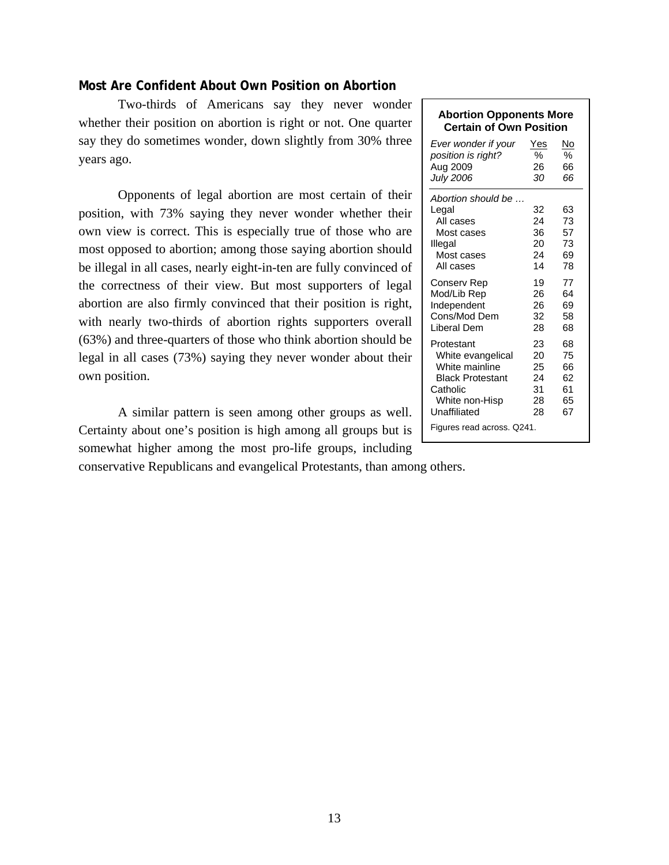# **Most Are Confident About Own Position on Abortion**

Two-thirds of Americans say they never wonder whether their position on abortion is right or not. One quarter say they do sometimes wonder, down slightly from 30% three years ago.

 Opponents of legal abortion are most certain of their position, with 73% saying they never wonder whether their own view is correct. This is especially true of those who are most opposed to abortion; among those saying abortion should be illegal in all cases, nearly eight-in-ten are fully convinced of the correctness of their view. But most supporters of legal abortion are also firmly convinced that their position is right, with nearly two-thirds of abortion rights supporters overall (63%) and three-quarters of those who think abortion should be legal in all cases (73%) saying they never wonder about their own position.

 A similar pattern is seen among other groups as well. Certainty about one's position is high among all groups but is somewhat higher among the most pro-life groups, including

conservative Republicans and evangelical Protestants, than among others.

#### **Abortion Opponents More Certain of Own Position**

| Ever wonder if your                                                                                                                                      | Yes                                    | No                                     |
|----------------------------------------------------------------------------------------------------------------------------------------------------------|----------------------------------------|----------------------------------------|
| position is right?                                                                                                                                       | %                                      | %                                      |
| Aug 2009                                                                                                                                                 | 26                                     | 66                                     |
| <b>July 2006</b>                                                                                                                                         | 30                                     | 66                                     |
| Abortion should be<br>Legal<br>All cases<br>Most cases<br>Illegal<br>Most cases<br>All cases                                                             | 32<br>24<br>36<br>20<br>24<br>14       | 63<br>73<br>57<br>73<br>69<br>78       |
| Conserv Rep                                                                                                                                              | 19                                     | 77                                     |
| Mod/Lib Rep                                                                                                                                              | 26                                     | 64                                     |
| Independent                                                                                                                                              | 26                                     | 69                                     |
| Cons/Mod Dem                                                                                                                                             | 32                                     | 58                                     |
| Liberal Dem                                                                                                                                              | 28                                     | 68                                     |
| Protestant<br>White evangelical<br>White mainline<br><b>Black Protestant</b><br>Catholic<br>White non-Hisp<br>Unaffiliated<br>Figures read across. Q241. | 23<br>20<br>25<br>24<br>31<br>28<br>28 | 68<br>75<br>66<br>62<br>61<br>65<br>67 |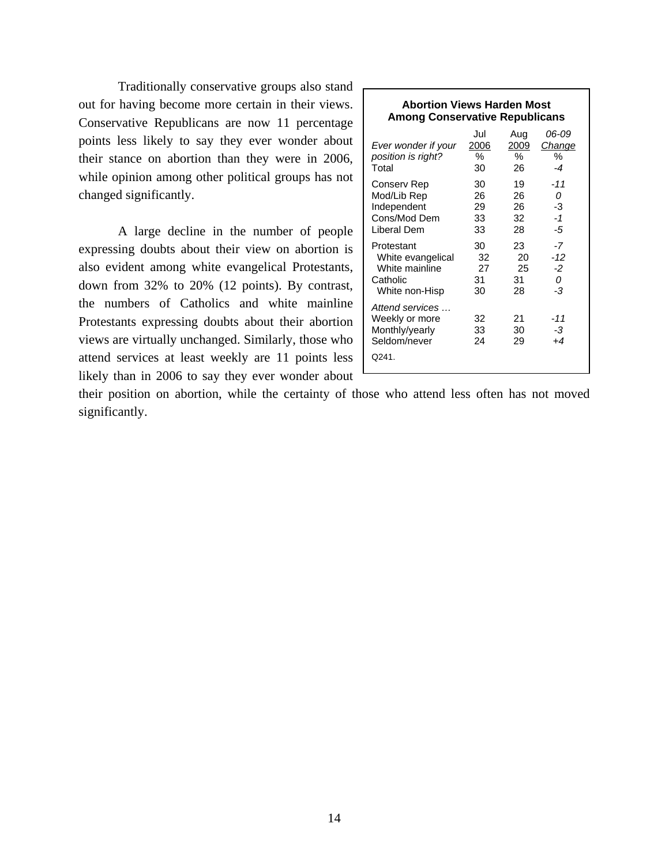Traditionally conservative groups also stand out for having become more certain in their views. Conservative Republicans are now 11 percentage points less likely to say they ever wonder about their stance on abortion than they were in 2006, while opinion among other political groups has not changed significantly.

A large decline in the number of people expressing doubts about their view on abortion is also evident among white evangelical Protestants, down from 32% to 20% (12 points). By contrast, the numbers of Catholics and white mainline Protestants expressing doubts about their abortion views are virtually unchanged. Similarly, those who attend services at least weekly are 11 points less likely than in 2006 to say they ever wonder about

| <b>Abortion Views Harden Most</b><br><b>Among Conservative Republicans</b>      |                            |                            |                                |  |  |
|---------------------------------------------------------------------------------|----------------------------|----------------------------|--------------------------------|--|--|
| Ever wonder if your<br>position is right?<br>Total                              | Jul<br>2006<br>℅<br>30     | Aug<br>2009<br>℅<br>26     | 06-09<br>Change<br>℅<br>$-4$   |  |  |
| Conserv Rep<br>Mod/Lib Rep<br>Independent<br>Cons/Mod Dem<br>Liberal Dem        | 30<br>26<br>29<br>33<br>33 | 19<br>26<br>26<br>32<br>28 | $-11$<br>0<br>-3<br>$-1$<br>-5 |  |  |
| Protestant<br>White evangelical<br>White mainline<br>Catholic<br>White non-Hisp | 30<br>32<br>27<br>31<br>30 | 23<br>20<br>25<br>31<br>28 | -7<br>$-12$<br>$-2$<br>0<br>-3 |  |  |
| Attend services<br>Weekly or more<br>Monthly/yearly<br>Seldom/never<br>Q241.    | 32<br>33<br>24             | 21<br>30<br>29             | -11<br>-3<br>$+4$              |  |  |

their position on abortion, while the certainty of those who attend less often has not moved significantly.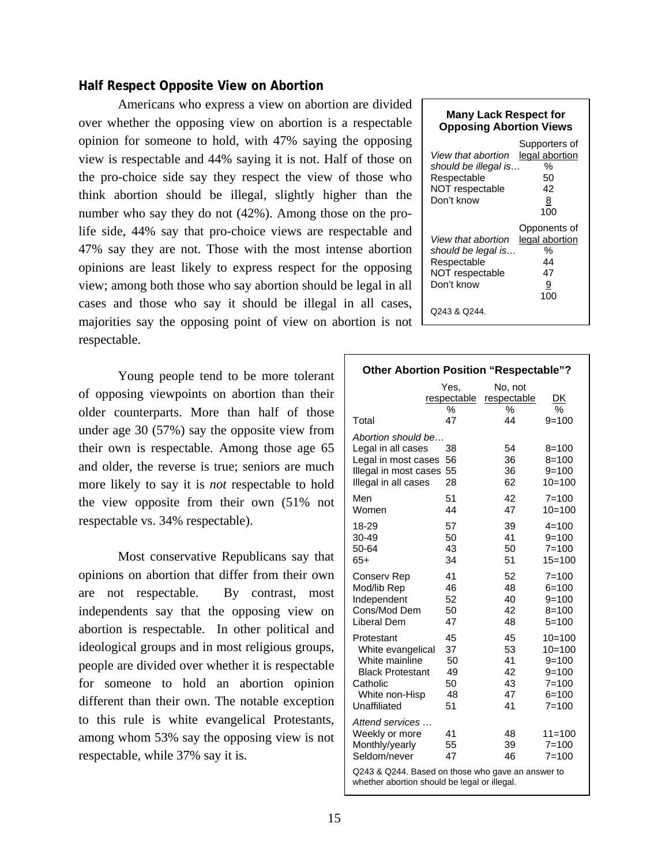#### **Half Respect Opposite View on Abortion**

 Americans who express a view on abortion are divided over whether the opposing view on abortion is a respectable opinion for someone to hold, with 47% saying the opposing view is respectable and 44% saying it is not. Half of those on the pro-choice side say they respect the view of those who think abortion should be illegal, slightly higher than the number who say they do not (42%). Among those on the prolife side, 44% say that pro-choice views are respectable and 47% say they are not. Those with the most intense abortion opinions are least likely to express respect for the opposing view; among both those who say abortion should be legal in all cases and those who say it should be illegal in all cases, majorities say the opposing point of view on abortion is not respectable.

 Young people tend to be more tolerant of opposing viewpoints on abortion than their older counterparts. More than half of those under age 30 (57%) say the opposite view from their own is respectable. Among those age 65 and older, the reverse is true; seniors are much more likely to say it is *not* respectable to hold the view opposite from their own (51% not respectable vs. 34% respectable).

Most conservative Republicans say that opinions on abortion that differ from their own are not respectable. By contrast, most independents say that the opposing view on abortion is respectable. In other political and ideological groups and in most religious groups, people are divided over whether it is respectable for someone to hold an abortion opinion different than their own. The notable exception to this rule is white evangelical Protestants, among whom 53% say the opposing view is not respectable, while 37% say it is.

| <b>Many Lack Respect for</b><br><b>Opposing Abortion Views</b>                             |                                                                 |
|--------------------------------------------------------------------------------------------|-----------------------------------------------------------------|
| View that abortion<br>should be illegal is<br>Respectable<br>NOT respectable<br>Don't know | Supporters of<br>legal abortion<br>$\%$<br>50<br>42<br>8<br>100 |
| View that abortion<br>should be legal is<br>Respectable<br>NOT respectable<br>Don't know   | Opponents of<br>legal abortion<br>$\%$<br>44<br>47<br>9<br>100  |
| Q243 & Q244.                                                                               |                                                                 |

| <b>Other Abortion Position "Respectable"?</b>                                                                              |                                        |                                        |                                                                                       |  |  |
|----------------------------------------------------------------------------------------------------------------------------|----------------------------------------|----------------------------------------|---------------------------------------------------------------------------------------|--|--|
|                                                                                                                            | Yes.<br>respectable                    | No, not<br>respectable<br>%            | DK                                                                                    |  |  |
| Total                                                                                                                      | %<br>47                                | 44                                     | %<br>$9 = 100$                                                                        |  |  |
| Abortion should be<br>Legal in all cases<br>Legal in most cases<br>Illegal in most cases<br>Illegal in all cases           | 38<br>56<br>55<br>28                   | 54<br>36<br>36<br>62                   | $8 = 100$<br>$8 = 100$<br>$9 = 100$<br>$10=100$                                       |  |  |
| Men<br>Women                                                                                                               | 51<br>44                               | 42<br>47                               | $7 = 100$<br>$10=100$                                                                 |  |  |
| 18-29<br>30-49<br>50-64<br>$65+$                                                                                           | 57<br>50<br>43<br>34                   | 39<br>41<br>50<br>51                   | $4 = 100$<br>$9 = 100$<br>$7 = 100$<br>$15=100$                                       |  |  |
| Conserv Rep<br>Mod/lib Rep<br>Independent<br>Cons/Mod Dem<br>Liberal Dem                                                   | 41<br>46<br>52<br>50<br>47             | 52<br>48<br>40<br>42<br>48             | $7 = 100$<br>$6 = 100$<br>$9 = 100$<br>$8 = 100$<br>$5 = 100$                         |  |  |
| Protestant<br>White evangelical<br>White mainline<br><b>Black Protestant</b><br>Catholic<br>White non-Hisp<br>Unaffiliated | 45<br>37<br>50<br>49<br>50<br>48<br>51 | 45<br>53<br>41<br>42<br>43<br>47<br>41 | $10=100$<br>$10=100$<br>$9 = 100$<br>$9 = 100$<br>$7 = 100$<br>$6 = 100$<br>$7 = 100$ |  |  |
| Attend services<br>Weekly or more<br>Monthly/yearly<br>Seldom/never                                                        | 41<br>55<br>47                         | 48<br>39<br>46                         | $11 = 100$<br>$7 = 100$<br>$7 = 100$                                                  |  |  |
| Q243 & Q244. Based on those who gave an answer to<br>whether abortion should be legal or illegal.                          |                                        |                                        |                                                                                       |  |  |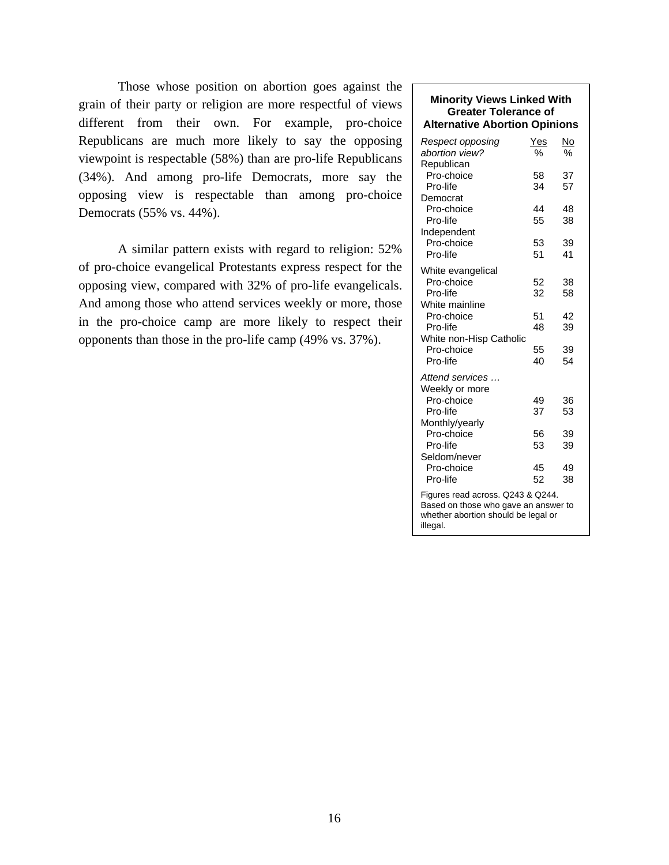Those whose position on abortion goes against the grain of their party or religion are more respectful of views different from their own. For example, pro-choice Republicans are much more likely to say the opposing viewpoint is respectable (58%) than are pro-life Republicans (34%). And among pro-life Democrats, more say the opposing view is respectable than among pro-choice Democrats (55% vs. 44%).

A similar pattern exists with regard to religion: 52% of pro-choice evangelical Protestants express respect for the opposing view, compared with 32% of pro-life evangelicals. And among those who attend services weekly or more, those in the pro-choice camp are more likely to respect their opponents than those in the pro-life camp (49% vs. 37%).

#### **Minority Views Linked With Greater Tolerance of Alternative Abortion Opinions**  *Respect opposing* Yes No *abortion view?* % % Republican Pro-choice 58 37 Pro-life 34 57 Democrat Pro-choice 44 48 Pro-life 55 38 Independent Pro-choice 53 39 Pro-life 51 41 White evangelical Pro-choice 52 38<br>Pro-life 32 58 Pro-life 32 58 White mainline Pro-choice 51 42 Pro-life 48 39 White non-Hisp Catholic Pro-choice 55 39 Pro-life 40 54 *Attend services …*  Weekly or more Pro-choice 49 36 Pro-life 37 53 Monthly/yearly Pro-choice 56 39<br>Pro-life 53 39 Pro-life 53 Seldom/never Pro-choice 45 49 Pro-life 52 38 Figures read across. Q243 & Q244. Based on those who gave an answer to whether abortion should be legal or illegal.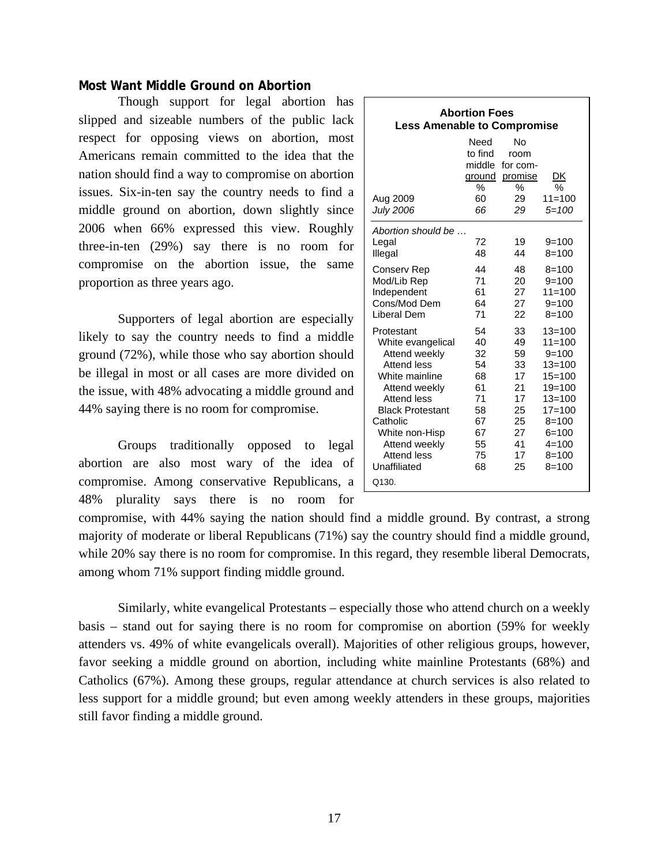## **Most Want Middle Ground on Abortion**

Though support for legal abortion has slipped and sizeable numbers of the public lack respect for opposing views on abortion, most Americans remain committed to the idea that the nation should find a way to compromise on abortion issues. Six-in-ten say the country needs to find a middle ground on abortion, down slightly since 2006 when 66% expressed this view. Roughly three-in-ten (29%) say there is no room for compromise on the abortion issue, the same proportion as three years ago.

 Supporters of legal abortion are especially likely to say the country needs to find a middle ground (72%), while those who say abortion should be illegal in most or all cases are more divided on the issue, with 48% advocating a middle ground and 44% saying there is no room for compromise.

 Groups traditionally opposed to legal abortion are also most wary of the idea of compromise. Among conservative Republicans, a 48% plurality says there is no room for

| <b>Abortion Foes</b><br><b>Less Amenable to Compromise</b>                                                                                                                                                                                        |                                                                            |                                                                            |                                                                                                                                                                              |  |  |
|---------------------------------------------------------------------------------------------------------------------------------------------------------------------------------------------------------------------------------------------------|----------------------------------------------------------------------------|----------------------------------------------------------------------------|------------------------------------------------------------------------------------------------------------------------------------------------------------------------------|--|--|
| Aug 2009<br><b>July 2006</b>                                                                                                                                                                                                                      | Need<br>to find<br>middle<br>ground<br>$\frac{0}{0}$<br>60<br>66           | No<br>room<br>for com-<br>promise<br>℅<br>29<br>29                         | DK<br>$\frac{0}{0}$<br>$11 = 100$<br>$5 = 100$                                                                                                                               |  |  |
| Abortion should be<br>Legal<br>Illegal                                                                                                                                                                                                            | 72<br>48                                                                   | 19<br>44                                                                   | $9 = 100$<br>$8 = 100$                                                                                                                                                       |  |  |
| Conserv Rep<br>Mod/Lib Rep<br>Independent<br>Cons/Mod Dem<br>Liberal Dem                                                                                                                                                                          | 44<br>71<br>61<br>64<br>71                                                 | 48<br>20<br>27<br>27<br>22                                                 | $8 = 100$<br>$9 = 100$<br>$11 = 100$<br>$9 = 100$<br>$8 = 100$                                                                                                               |  |  |
| Protestant<br>White evangelical<br>Attend weekly<br><b>Attend less</b><br>White mainline<br>Attend weekly<br><b>Attend less</b><br><b>Black Protestant</b><br>Catholic<br>White non-Hisp<br>Attend weekly<br>Attend less<br>Unaffiliated<br>Q130. | 54<br>40<br>32<br>54<br>68<br>61<br>71<br>58<br>67<br>67<br>55<br>75<br>68 | 33<br>49<br>59<br>33<br>17<br>21<br>17<br>25<br>25<br>27<br>41<br>17<br>25 | $13 = 100$<br>$11 = 100$<br>$9 = 100$<br>$13 = 100$<br>$15 = 100$<br>$19 = 100$<br>$13 = 100$<br>$17 = 100$<br>$8 = 100$<br>$6 = 100$<br>$4 = 100$<br>$8 = 100$<br>$8 = 100$ |  |  |

compromise, with 44% saying the nation should find a middle ground. By contrast, a strong majority of moderate or liberal Republicans (71%) say the country should find a middle ground, while 20% say there is no room for compromise. In this regard, they resemble liberal Democrats, among whom 71% support finding middle ground.

 Similarly, white evangelical Protestants – especially those who attend church on a weekly basis – stand out for saying there is no room for compromise on abortion (59% for weekly attenders vs. 49% of white evangelicals overall). Majorities of other religious groups, however, favor seeking a middle ground on abortion, including white mainline Protestants (68%) and Catholics (67%). Among these groups, regular attendance at church services is also related to less support for a middle ground; but even among weekly attenders in these groups, majorities still favor finding a middle ground.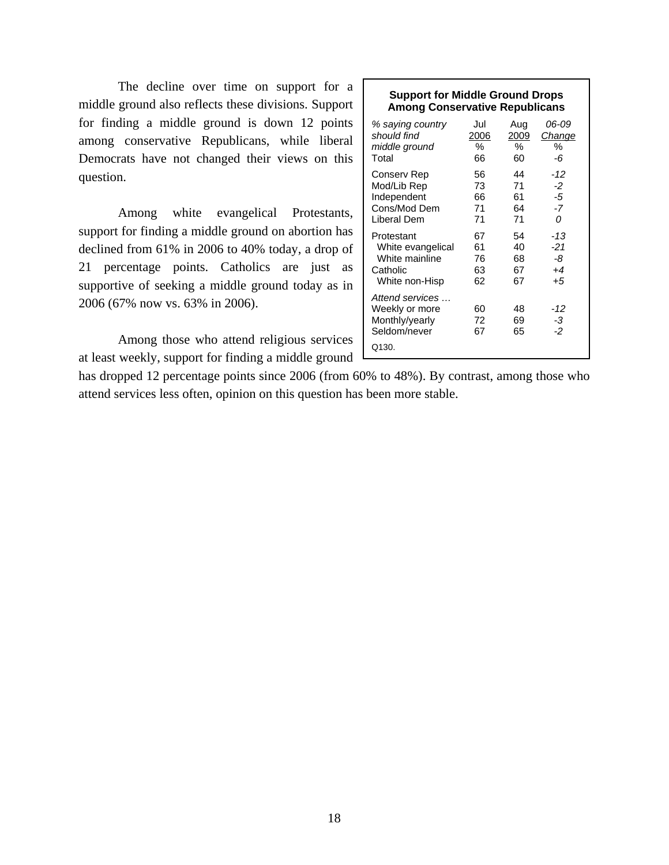The decline over time on support for a middle ground also reflects these divisions. Support for finding a middle ground is down 12 points among conservative Republicans, while liberal Democrats have not changed their views on this question.

 Among white evangelical Protestants, support for finding a middle ground on abortion has declined from 61% in 2006 to 40% today, a drop of 21 percentage points. Catholics are just as supportive of seeking a middle ground today as in 2006 (67% now vs. 63% in 2006).

 Among those who attend religious services at least weekly, support for finding a middle ground

| <b>Support for Middle Ground Drops</b><br><b>Among Conservative Republicans</b> |             |             |                 |  |  |  |
|---------------------------------------------------------------------------------|-------------|-------------|-----------------|--|--|--|
| % saying country<br>should find                                                 | Jul<br>2006 | Aug<br>2009 | 06-09<br>Change |  |  |  |
| middle ground                                                                   | $\%$        | %           | %               |  |  |  |
| Total                                                                           | 66          | 60          | -6              |  |  |  |
| Conserv Rep                                                                     | 56          | 44          | $-12$           |  |  |  |
| Mod/Lib Rep                                                                     | 73          | 71          | $-2$            |  |  |  |
| Independent                                                                     | 66          | 61          | -5              |  |  |  |
| Cons/Mod Dem                                                                    | 71          | 64          | $-7$            |  |  |  |
| Liberal Dem                                                                     | 71          | 71          | 0               |  |  |  |
| Protestant                                                                      | 67          | 54          | $-13$           |  |  |  |
| White evangelical                                                               | 61          | 40          | $-21$           |  |  |  |
| White mainline                                                                  | 76          | 68          | -8              |  |  |  |
| Catholic                                                                        | 63          | 67          | $+4$            |  |  |  |
| White non-Hisp                                                                  | 62          | 67          | $+5$            |  |  |  |
| Attend services                                                                 |             |             |                 |  |  |  |
| Weekly or more                                                                  | 60          | 48          | -12             |  |  |  |
| Monthly/yearly                                                                  | 72          | 69          | -3              |  |  |  |
| Seldom/never                                                                    | 67          | 65          | -2              |  |  |  |
| Q130.                                                                           |             |             |                 |  |  |  |

has dropped 12 percentage points since 2006 (from 60% to 48%). By contrast, among those who attend services less often, opinion on this question has been more stable.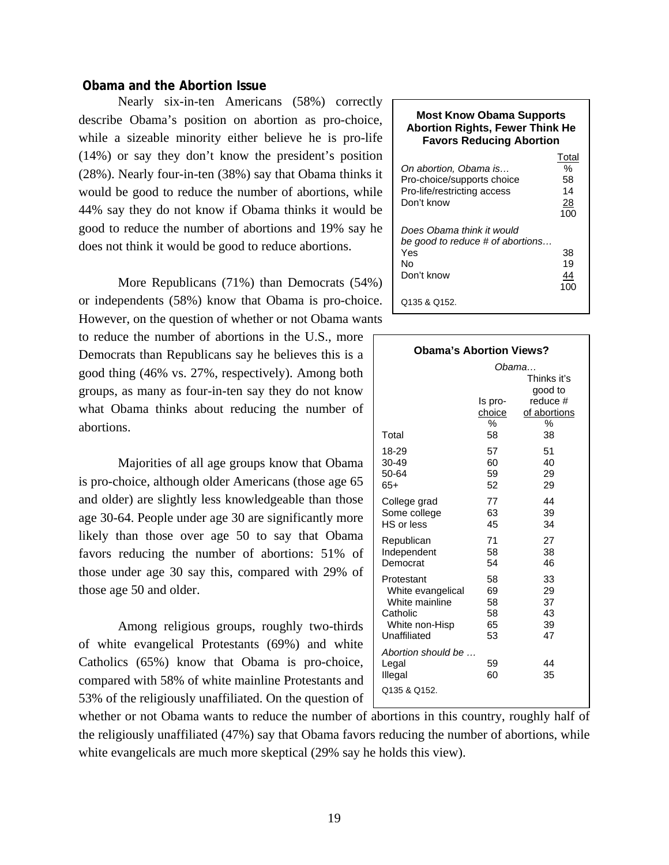# **Obama and the Abortion Issue**

Nearly six-in-ten Americans (58%) correctly describe Obama's position on abortion as pro-choice, while a sizeable minority either believe he is pro-life (14%) or say they don't know the president's position (28%). Nearly four-in-ten (38%) say that Obama thinks it would be good to reduce the number of abortions, while 44% say they do not know if Obama thinks it would be good to reduce the number of abortions and 19% say he does not think it would be good to reduce abortions.

More Republicans (71%) than Democrats (54%) or independents (58%) know that Obama is pro-choice. However, on the question of whether or not Obama wants

to reduce the number of abortions in the U.S., more Democrats than Republicans say he believes this is a good thing (46% vs. 27%, respectively). Among both groups, as many as four-in-ten say they do not know what Obama thinks about reducing the number of abortions.

Majorities of all age groups know that Obama is pro-choice, although older Americans (those age 65 and older) are slightly less knowledgeable than those age 30-64. People under age 30 are significantly more likely than those over age 50 to say that Obama favors reducing the number of abortions: 51% of those under age 30 say this, compared with 29% of those age 50 and older.

Among religious groups, roughly two-thirds of white evangelical Protestants (69%) and white Catholics (65%) know that Obama is pro-choice, compared with 58% of white mainline Protestants and 53% of the religiously unaffiliated. On the question of

#### **Most Know Obama Supports Abortion Rights, Fewer Think He Favors Reducing Abortion**

| On abortion, Obama is<br>Pro-choice/supports choice<br>Pro-life/restricting access<br>Don't know | Total<br>%<br>58<br>14<br>28<br>100 |
|--------------------------------------------------------------------------------------------------|-------------------------------------|
| Does Obama think it would<br>be good to reduce # of abortions<br>Yes<br>N٥<br>Don't know         | 38<br>19<br>44                      |
| Q135 & Q152.                                                                                     |                                     |

| <b>Obama's Abortion Views?</b>                           |                              |                                                                        |  |  |  |  |
|----------------------------------------------------------|------------------------------|------------------------------------------------------------------------|--|--|--|--|
| Total                                                    | ls pro-<br>choice<br>%<br>58 | Obama<br>Thinks it's<br>good to<br>reduce #<br>of abortions<br>%<br>38 |  |  |  |  |
| 18-29                                                    | 57                           | 51                                                                     |  |  |  |  |
| 30-49                                                    | 60                           | 40                                                                     |  |  |  |  |
| 50-64                                                    | 59                           | 29                                                                     |  |  |  |  |
| 65+                                                      | 52                           | 29                                                                     |  |  |  |  |
| College grad                                             | 77                           | 44                                                                     |  |  |  |  |
| Some college                                             | 63                           | 39                                                                     |  |  |  |  |
| HS or less                                               | 45                           | 34                                                                     |  |  |  |  |
| Republican                                               | 71                           | 27                                                                     |  |  |  |  |
| Independent                                              | 58                           | 38                                                                     |  |  |  |  |
| Democrat                                                 | 54                           | 46                                                                     |  |  |  |  |
| Protestant                                               | 58                           | 33                                                                     |  |  |  |  |
| White evangelical                                        | 69                           | 29                                                                     |  |  |  |  |
| White mainline                                           | 58                           | 37                                                                     |  |  |  |  |
| Catholic                                                 | 58                           | 43                                                                     |  |  |  |  |
| White non-Hisp                                           | 65                           | 39                                                                     |  |  |  |  |
| Unaffiliated                                             | 53                           | 47                                                                     |  |  |  |  |
| Abortion should be …<br>Legal<br>Illegal<br>Q135 & Q152. | 59<br>60                     | 44<br>35                                                               |  |  |  |  |

whether or not Obama wants to reduce the number of abortions in this country, roughly half of the religiously unaffiliated (47%) say that Obama favors reducing the number of abortions, while white evangelicals are much more skeptical (29% say he holds this view).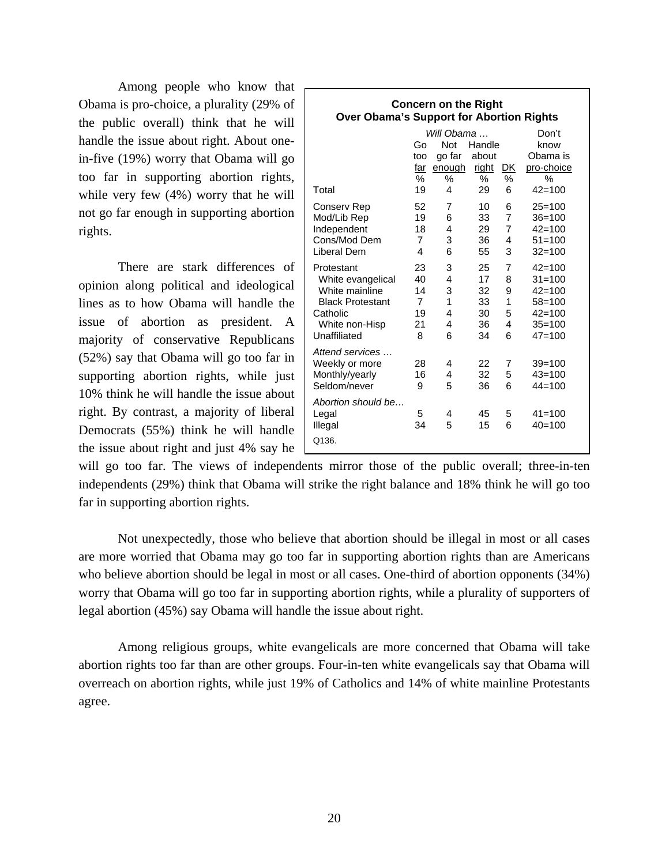Among people who know that Obama is pro-choice, a plurality (29% of the public overall) think that he will handle the issue about right. About onein-five (19%) worry that Obama will go too far in supporting abortion rights, while very few (4%) worry that he will not go far enough in supporting abortion rights.

There are stark differences of opinion along political and ideological lines as to how Obama will handle the issue of abortion as president. A majority of conservative Republicans (52%) say that Obama will go too far in supporting abortion rights, while just 10% think he will handle the issue about right. By contrast, a majority of liberal Democrats (55%) think he will handle the issue about right and just 4% say he

| <b>Concern on the Right</b><br><b>Over Obama's Support for Abortion Rights</b> |                |            |        |    |            |  |  |  |
|--------------------------------------------------------------------------------|----------------|------------|--------|----|------------|--|--|--|
| Will Obama …<br>Don't                                                          |                |            |        |    |            |  |  |  |
|                                                                                | Go             | <b>Not</b> | Handle |    | know       |  |  |  |
|                                                                                | too            | go far     | about  |    | Obama is   |  |  |  |
|                                                                                | far            | enough     | right  | DK | pro-choice |  |  |  |
|                                                                                | ℅              | %          | ℅      | ℅  | %          |  |  |  |
| Total                                                                          | 19             | 4          | 29     | 6  | $42 = 100$ |  |  |  |
| Conserv Rep                                                                    | 52             | 7          | 10     | 6  | $25 = 100$ |  |  |  |
| Mod/Lib Rep                                                                    | 19             | 6          | 33     | 7  | $36 = 100$ |  |  |  |
| Independent                                                                    | 18             | 4          | 29     | 7  | $42 = 100$ |  |  |  |
| Cons/Mod Dem                                                                   | $\overline{7}$ | 3          | 36     | 4  | $51 = 100$ |  |  |  |
| Liberal Dem                                                                    | 4              | 6          | 55     | 3  | $32 = 100$ |  |  |  |
| Protestant                                                                     | 23             | 3          | 25     | 7  | $42 = 100$ |  |  |  |
| White evangelical                                                              | 40             | 4          | 17     | 8  | $31 = 100$ |  |  |  |
| White mainline                                                                 | 14             | 3          | 32     | 9  | $42 = 100$ |  |  |  |
| <b>Black Protestant</b>                                                        | $\overline{7}$ | 1          | 33     | 1  | $58 = 100$ |  |  |  |
| Catholic                                                                       | 19             | 4          | 30     | 5  | $42 = 100$ |  |  |  |
| White non-Hisp                                                                 | 21             | 4          | 36     | 4  | $35 = 100$ |  |  |  |
| Unaffiliated                                                                   | 8              | 6          | 34     | 6  | $47 = 100$ |  |  |  |
| Attend services                                                                |                |            |        |    |            |  |  |  |
| Weekly or more                                                                 | 28             | 4          | 22     | 7  | $39 = 100$ |  |  |  |
| Monthly/yearly                                                                 | 16             | 4          | 32     | 5  | $43 = 100$ |  |  |  |
| Seldom/never                                                                   | 9              | 5          | 36     | 6  | $44 = 100$ |  |  |  |
| Abortion should be                                                             |                |            |        |    |            |  |  |  |
| Legal                                                                          | 5              | 4          | 45     | 5  | $41 = 100$ |  |  |  |
| Illegal                                                                        | 34             | 5          | 15     | 6  | $40 = 100$ |  |  |  |
| Q136.                                                                          |                |            |        |    |            |  |  |  |

will go too far. The views of independents mirror those of the public overall; three-in-ten independents (29%) think that Obama will strike the right balance and 18% think he will go too far in supporting abortion rights.

Not unexpectedly, those who believe that abortion should be illegal in most or all cases are more worried that Obama may go too far in supporting abortion rights than are Americans who believe abortion should be legal in most or all cases. One-third of abortion opponents (34%) worry that Obama will go too far in supporting abortion rights, while a plurality of supporters of legal abortion (45%) say Obama will handle the issue about right.

Among religious groups, white evangelicals are more concerned that Obama will take abortion rights too far than are other groups. Four-in-ten white evangelicals say that Obama will overreach on abortion rights, while just 19% of Catholics and 14% of white mainline Protestants agree.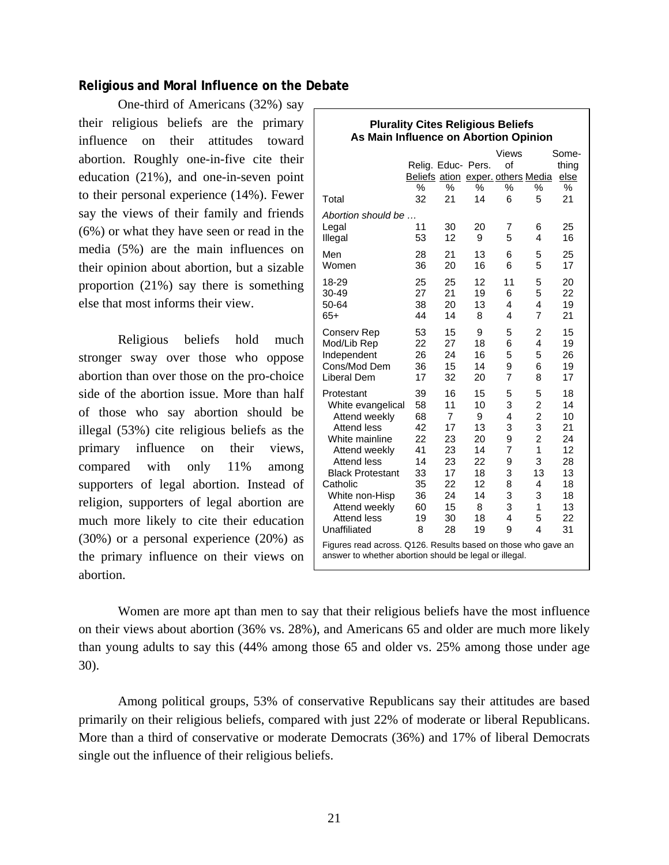# **Religious and Moral Influence on the Debate**

One-third of Americans (32%) say their religious beliefs are the primary influence on their attitudes toward abortion. Roughly one-in-five cite their education (21%), and one-in-seven point to their personal experience (14%). Fewer say the views of their family and friends (6%) or what they have seen or read in the media (5%) are the main influences on their opinion about abortion, but a sizable proportion (21%) say there is something else that most informs their view.

Religious beliefs hold much stronger sway over those who oppose abortion than over those on the pro-choice side of the abortion issue. More than half of those who say abortion should be illegal (53%) cite religious beliefs as the primary influence on their views, compared with only 11% among supporters of legal abortion. Instead of religion, supporters of legal abortion are much more likely to cite their education (30%) or a personal experience (20%) as the primary influence on their views on abortion.

| <b>Plurality Cites Religious Beliefs</b><br>As Main Influence on Abortion Opinion                                       |                    |                |          |                                   |                         |          |
|-------------------------------------------------------------------------------------------------------------------------|--------------------|----------------|----------|-----------------------------------|-------------------------|----------|
|                                                                                                                         |                    |                |          | Views                             |                         | Some-    |
|                                                                                                                         | Relig. Educ- Pers. |                |          | of                                |                         | thing    |
|                                                                                                                         |                    |                |          | Beliefs ation exper. others Media |                         | else     |
|                                                                                                                         | %                  | $\%$<br>21     | %<br>14  | %                                 | %                       | %<br>21  |
| Total                                                                                                                   | 32                 |                |          | 6                                 | 5                       |          |
| Abortion should be                                                                                                      |                    |                |          |                                   |                         |          |
| Legal                                                                                                                   | 11                 | 30             | 20       | $\overline{7}$                    | 6                       | 25       |
| Illegal                                                                                                                 | 53                 | 12             | 9        | 5                                 | 4                       | 16       |
| Men                                                                                                                     | 28                 | 21             | 13       | 6                                 | 5                       | 25       |
| Women                                                                                                                   | 36                 | 20             | 16       | 6                                 | 5                       | 17       |
| 18-29                                                                                                                   | 25                 | 25             | 12       | 11                                | 5                       | 20       |
| 30-49                                                                                                                   | 27                 | 21             | 19       | 6                                 | 5                       | 22       |
| 50-64                                                                                                                   | 38                 | 20             | 13       | 4                                 | 4                       | 19       |
| $65+$                                                                                                                   | 44                 | 14             | 8        | $\overline{\mathbf{4}}$           | $\overline{7}$          | 21       |
| Conserv Rep                                                                                                             | 53                 | 15             | 9        | 5                                 | 2                       | 15       |
| Mod/Lib Rep                                                                                                             | 22                 | 27             | 18       | 6                                 | 4                       | 19       |
| Independent                                                                                                             | 26                 | 24             | 16       | 5                                 | 5                       | 26       |
| Cons/Mod Dem                                                                                                            | 36                 | 15             | 14       | 9                                 | 6                       | 19       |
| Liberal Dem                                                                                                             | 17                 | 32             | 20       | $\overline{7}$                    | 8                       | 17       |
| Protestant                                                                                                              | 39                 | 16             | 15       | 5                                 | 5                       | 18       |
| White evangelical                                                                                                       | 58                 | 11             | 10       | 3                                 | $\overline{\mathbf{c}}$ | 14       |
| Attend weekly                                                                                                           | 68                 | $\overline{7}$ | 9        | 4                                 | $\overline{2}$          | 10       |
| Attend less                                                                                                             | 42                 | 17             | 13       | 3                                 | 3                       | 21       |
| White mainline                                                                                                          | 22                 | 23             | 20       | 9                                 | $\overline{2}$          | 24       |
| Attend weekly                                                                                                           | 41                 | 23             | 14       | $\overline{7}$                    | 1                       | 12       |
| Attend less                                                                                                             | 14                 | 23             | 22       | 9                                 | 3                       | 28       |
| <b>Black Protestant</b>                                                                                                 | 33                 | 17             | 18       | 3                                 | 13                      | 13       |
| Catholic                                                                                                                | 35                 | 22<br>24       | 12<br>14 | 8<br>3                            | 4<br>3                  | 18<br>18 |
| White non-Hisp<br>Attend weekly                                                                                         | 36<br>60           | 15             | 8        | 3                                 | 1                       | 13       |
| <b>Attend less</b>                                                                                                      | 19                 | 30             | 18       | 4                                 | 5                       | 22       |
| Unaffiliated                                                                                                            | 8                  | 28             | 19       | 9                                 | 4                       | 31       |
|                                                                                                                         |                    |                |          |                                   |                         |          |
| Figures read across. Q126. Results based on those who gave an<br>answer to whether abortion should be legal or illegal. |                    |                |          |                                   |                         |          |
|                                                                                                                         |                    |                |          |                                   |                         |          |

Women are more apt than men to say that their religious beliefs have the most influence on their views about abortion (36% vs. 28%), and Americans 65 and older are much more likely than young adults to say this (44% among those 65 and older vs. 25% among those under age 30).

Among political groups, 53% of conservative Republicans say their attitudes are based primarily on their religious beliefs, compared with just 22% of moderate or liberal Republicans. More than a third of conservative or moderate Democrats (36%) and 17% of liberal Democrats single out the influence of their religious beliefs.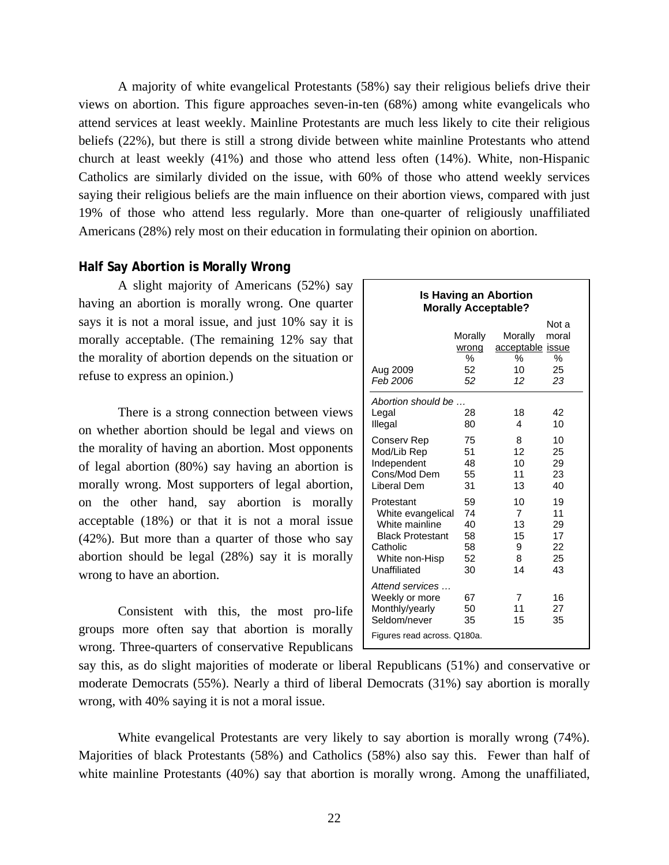A majority of white evangelical Protestants (58%) say their religious beliefs drive their views on abortion. This figure approaches seven-in-ten (68%) among white evangelicals who attend services at least weekly. Mainline Protestants are much less likely to cite their religious beliefs (22%), but there is still a strong divide between white mainline Protestants who attend church at least weekly (41%) and those who attend less often (14%). White, non-Hispanic Catholics are similarly divided on the issue, with 60% of those who attend weekly services saying their religious beliefs are the main influence on their abortion views, compared with just 19% of those who attend less regularly. More than one-quarter of religiously unaffiliated Americans (28%) rely most on their education in formulating their opinion on abortion.

#### **Half Say Abortion is Morally Wrong**

 A slight majority of Americans (52%) say having an abortion is morally wrong. One quarter says it is not a moral issue, and just 10% say it is morally acceptable. (The remaining 12% say that the morality of abortion depends on the situation or refuse to express an opinion.)

 There is a strong connection between views on whether abortion should be legal and views on the morality of having an abortion. Most opponents of legal abortion (80%) say having an abortion is morally wrong. Most supporters of legal abortion, on the other hand, say abortion is morally acceptable (18%) or that it is not a moral issue (42%). But more than a quarter of those who say abortion should be legal (28%) say it is morally wrong to have an abortion.

 Consistent with this, the most pro-life groups more often say that abortion is morally wrong. Three-quarters of conservative Republicans

| <b>Is Having an Abortion</b><br><b>Morally Acceptable?</b>                                                                 |                                        |                                              |                                        |  |  |  |
|----------------------------------------------------------------------------------------------------------------------------|----------------------------------------|----------------------------------------------|----------------------------------------|--|--|--|
| Aug 2009<br>Feb 2006                                                                                                       | Morally<br>wrong<br>℅<br>52<br>52      | Morally<br>acceptable issue<br>℅<br>10<br>12 | Not a<br>moral<br>℅<br>25<br>23        |  |  |  |
| Abortion should be<br>Legal<br>Illegal                                                                                     | 28<br>80                               | 18<br>4                                      | 42<br>10                               |  |  |  |
| Conserv Rep<br>Mod/Lib Rep<br>Independent<br>Cons/Mod Dem<br>Liberal Dem                                                   | 75<br>51<br>48<br>55<br>31             | 8<br>12<br>10<br>11<br>13                    | 10<br>25<br>29<br>23<br>40             |  |  |  |
| Protestant<br>White evangelical<br>White mainline<br><b>Black Protestant</b><br>Catholic<br>White non-Hisp<br>Unaffiliated | 59<br>74<br>40<br>58<br>58<br>52<br>30 | 10<br>7<br>13<br>15<br>9<br>8<br>14          | 19<br>11<br>29<br>17<br>22<br>25<br>43 |  |  |  |
| Attend services<br>Weekly or more<br>Monthly/yearly<br>Seldom/never<br>Figures read across. Q180a.                         | 67<br>50<br>35                         | 7<br>11<br>15                                | 16<br>27<br>35                         |  |  |  |

say this, as do slight majorities of moderate or liberal Republicans (51%) and conservative or moderate Democrats (55%). Nearly a third of liberal Democrats (31%) say abortion is morally wrong, with 40% saying it is not a moral issue.

 White evangelical Protestants are very likely to say abortion is morally wrong (74%). Majorities of black Protestants (58%) and Catholics (58%) also say this. Fewer than half of white mainline Protestants (40%) say that abortion is morally wrong. Among the unaffiliated,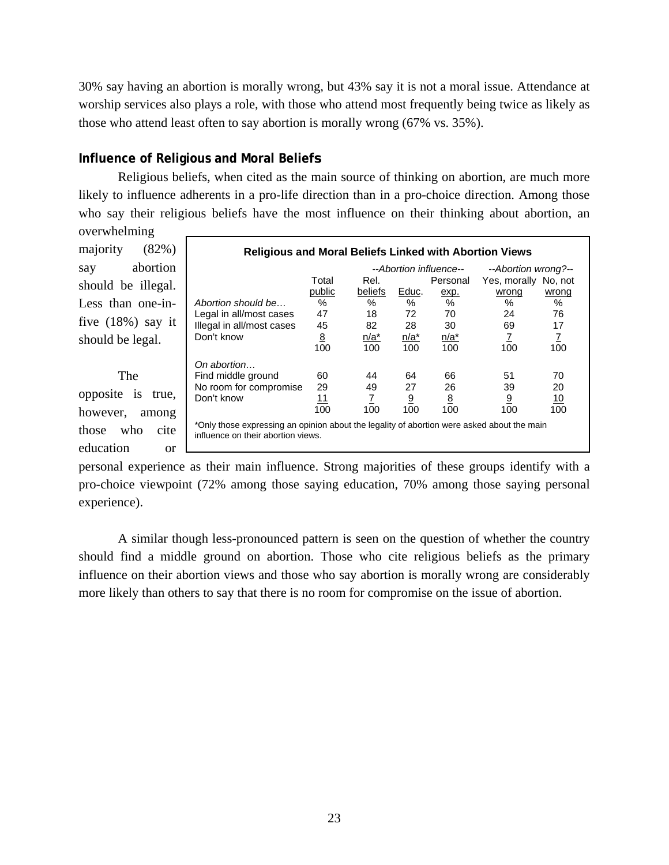30% say having an abortion is morally wrong, but 43% say it is not a moral issue. Attendance at worship services also plays a role, with those who attend most frequently being twice as likely as those who attend least often to say abortion is morally wrong (67% vs. 35%).

# **Influence of Religious and Moral Belief***s*

Religious beliefs, when cited as the main source of thinking on abortion, are much more likely to influence adherents in a pro-life direction than in a pro-choice direction. Among those who say their religious beliefs have the most influence on their thinking about abortion, an overwhelming

majority (82%) say abortion should be illegal. Less than one-infive (18%) say it should be legal.

 The opposite is true,

however, among those who cite education or

| <b>Religious and Moral Beliefs Linked with Abortion Views</b>                                                                    |                                               |         |                |                 |                      |            |  |  |
|----------------------------------------------------------------------------------------------------------------------------------|-----------------------------------------------|---------|----------------|-----------------|----------------------|------------|--|--|
|                                                                                                                                  | --Abortion influence--<br>--Abortion wrong?-- |         |                |                 |                      |            |  |  |
|                                                                                                                                  | Total                                         | Rel.    |                | Personal        | Yes, morally No, not |            |  |  |
|                                                                                                                                  | public                                        | beliefs | Educ.          | exp.            | wrong                | wrong      |  |  |
| Abortion should be                                                                                                               | %                                             | $\%$    | $\%$           | %               | $\%$                 | $\%$       |  |  |
| Legal in all/most cases                                                                                                          | 47                                            | 18      | 72             | 70              | 24                   | 76         |  |  |
| Illegal in all/most cases                                                                                                        | 45                                            | 82      | 28             | 30              | 69                   | 17         |  |  |
| Don't know                                                                                                                       | <u>8</u>                                      | $n/a^*$ | n/a*           | $n/a^*$         | 7                    | Z.         |  |  |
|                                                                                                                                  | 100                                           | 100     | 100            | 100             | 100                  | 100        |  |  |
| On abortion                                                                                                                      |                                               |         |                |                 |                      |            |  |  |
| Find middle ground                                                                                                               | 60                                            | 44      | 64             | 66              | 51                   | 70         |  |  |
| No room for compromise                                                                                                           | 29                                            | 49      | 27             | 26              | 39                   | 20         |  |  |
| Don't know                                                                                                                       | 11                                            | 7       | $\overline{9}$ | $\underline{8}$ | 9                    | <u> 10</u> |  |  |
|                                                                                                                                  | 100                                           | 100     | 100            | 100             | 100                  | 100        |  |  |
| *Only those expressing an opinion about the legality of abortion were asked about the main<br>influence on their abortion views. |                                               |         |                |                 |                      |            |  |  |

personal experience as their main influence. Strong majorities of these groups identify with a pro-choice viewpoint (72% among those saying education, 70% among those saying personal experience).

 A similar though less-pronounced pattern is seen on the question of whether the country should find a middle ground on abortion. Those who cite religious beliefs as the primary influence on their abortion views and those who say abortion is morally wrong are considerably more likely than others to say that there is no room for compromise on the issue of abortion.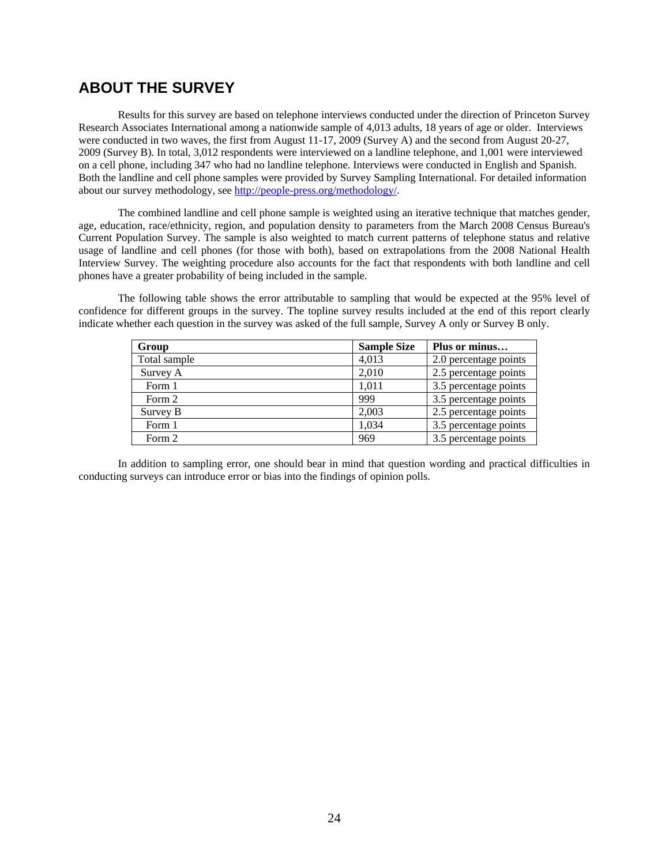# **ABOUT THE SURVEY**

Results for this survey are based on telephone interviews conducted under the direction of Princeton Survey Research Associates International among a nationwide sample of 4,013 adults, 18 years of age or older. Interviews were conducted in two waves, the first from August 11-17, 2009 (Survey A) and the second from August 20-27, 2009 (Survey B). In total, 3,012 respondents were interviewed on a landline telephone, and 1,001 were interviewed on a cell phone, including 347 who had no landline telephone. Interviews were conducted in English and Spanish. Both the landline and cell phone samples were provided by Survey Sampling International. For detailed information about our survey methodology, see http://people-press.org/methodology/.

The combined landline and cell phone sample is weighted using an iterative technique that matches gender, age, education, race/ethnicity, region, and population density to parameters from the March 2008 Census Bureau's Current Population Survey. The sample is also weighted to match current patterns of telephone status and relative usage of landline and cell phones (for those with both), based on extrapolations from the 2008 National Health Interview Survey. The weighting procedure also accounts for the fact that respondents with both landline and cell phones have a greater probability of being included in the sample.

The following table shows the error attributable to sampling that would be expected at the 95% level of confidence for different groups in the survey. The topline survey results included at the end of this report clearly indicate whether each question in the survey was asked of the full sample, Survey A only or Survey B only.

| Group        | <b>Sample Size</b> | Plus or minus         |
|--------------|--------------------|-----------------------|
| Total sample | 4,013              | 2.0 percentage points |
| Survey A     | 2,010              | 2.5 percentage points |
| Form 1       | 1,011              | 3.5 percentage points |
| Form 2       | 999                | 3.5 percentage points |
| Survey B     | 2.003              | 2.5 percentage points |
| Form 1       | 1,034              | 3.5 percentage points |
| Form 2       | 969                | 3.5 percentage points |

In addition to sampling error, one should bear in mind that question wording and practical difficulties in conducting surveys can introduce error or bias into the findings of opinion polls.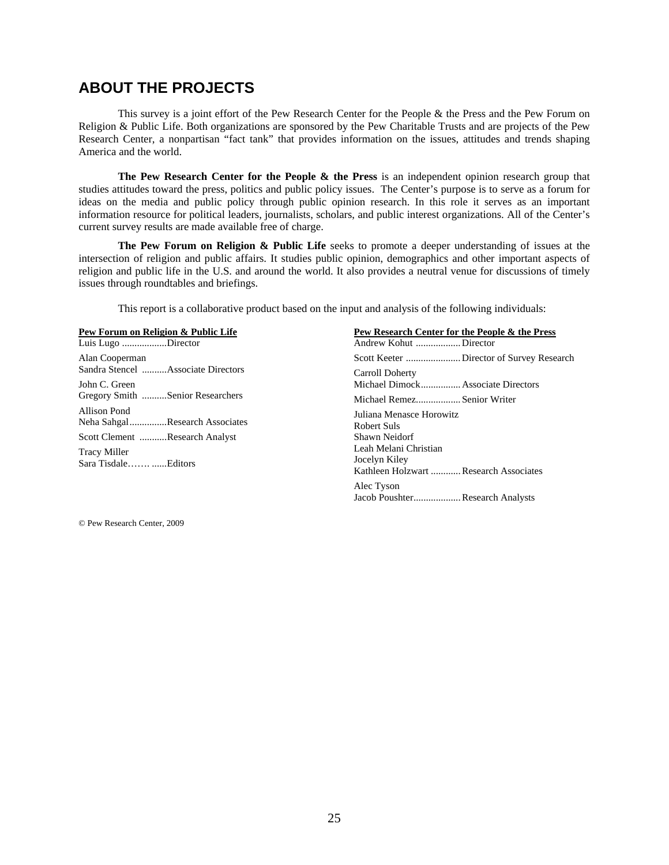# **ABOUT THE PROJECTS**

This survey is a joint effort of the Pew Research Center for the People & the Press and the Pew Forum on Religion & Public Life. Both organizations are sponsored by the Pew Charitable Trusts and are projects of the Pew Research Center, a nonpartisan "fact tank" that provides information on the issues, attitudes and trends shaping America and the world.

**The Pew Research Center for the People & the Press** is an independent opinion research group that studies attitudes toward the press, politics and public policy issues. The Center's purpose is to serve as a forum for ideas on the media and public policy through public opinion research. In this role it serves as an important information resource for political leaders, journalists, scholars, and public interest organizations. All of the Center's current survey results are made available free of charge.

**The Pew Forum on Religion & Public Life** seeks to promote a deeper understanding of issues at the intersection of religion and public affairs. It studies public opinion, demographics and other important aspects of religion and public life in the U.S. and around the world. It also provides a neutral venue for discussions of timely issues through roundtables and briefings.

This report is a collaborative product based on the input and analysis of the following individuals:

| Pew Forum on Religion & Public Life             | Pew Research Center for the People & the Press                                   |
|-------------------------------------------------|----------------------------------------------------------------------------------|
| Luis Lugo Director                              |                                                                                  |
| Alan Cooperman                                  |                                                                                  |
| Sandra Stencel Associate Directors              | Carroll Doherty                                                                  |
| John C. Green                                   | Michael Dimock Associate Directors                                               |
| Gregory Smith Senior Researchers                | Michael RemezSenior Writer                                                       |
| Allison Pond<br>Neha Sahgal Research Associates | Juliana Menasce Horowitz<br>Robert Suls                                          |
| Scott Clement Research Analyst                  | Shawn Neidorf                                                                    |
| Tracy Miller<br>Sara Tisdale Editors            | Leah Melani Christian<br>Jocelyn Kiley<br>Kathleen Holzwart  Research Associates |
|                                                 | Alec Tyson<br>Jacob PoushterResearch Analysts                                    |

© Pew Research Center, 2009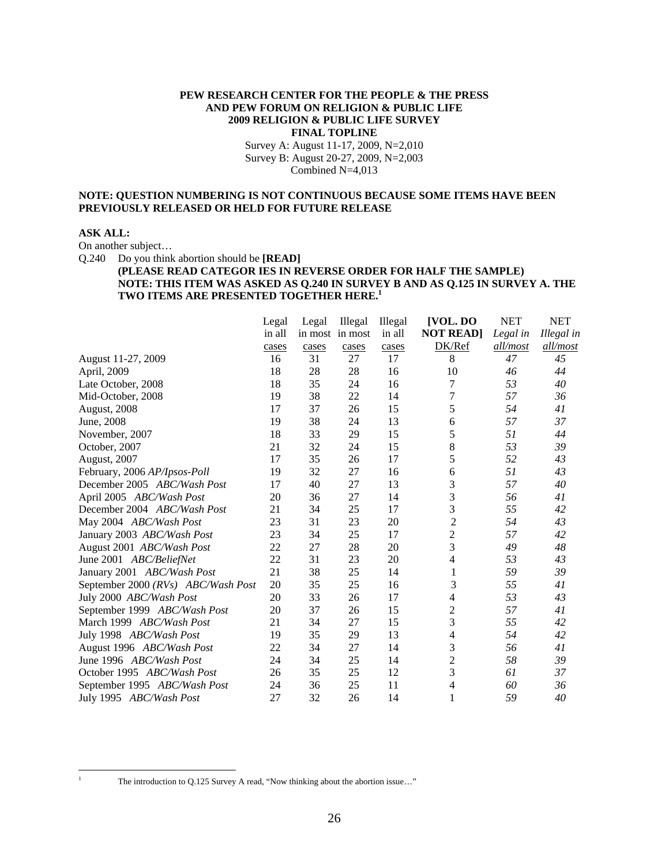#### **PEW RESEARCH CENTER FOR THE PEOPLE & THE PRESS AND PEW FORUM ON RELIGION & PUBLIC LIFE 2009 RELIGION & PUBLIC LIFE SURVEY FINAL TOPLINE**

Survey A: August 11-17, 2009, N=2,010 Survey B: August 20-27, 2009, N=2,003 Combined N=4,013

#### **NOTE: QUESTION NUMBERING IS NOT CONTINUOUS BECAUSE SOME ITEMS HAVE BEEN PREVIOUSLY RELEASED OR HELD FOR FUTURE RELEASE**

#### **ASK ALL:**

On another subject…

Q.240 Do you think abortion should be **[READ]**

#### **(PLEASE READ CATEGOR IES IN REVERSE ORDER FOR HALF THE SAMPLE) NOTE: THIS ITEM WAS ASKED AS Q.240 IN SURVEY B AND AS Q.125 IN SURVEY A. THE TWO ITEMS ARE PRESENTED TOGETHER HERE.1**

|                                    | Legal  | Legal | Illegal         | Illegal | [VOL. DO         | <b>NET</b> | <b>NET</b> |
|------------------------------------|--------|-------|-----------------|---------|------------------|------------|------------|
|                                    | in all |       | in most in most | in all  | <b>NOT READ]</b> | Legal in   | Illegal in |
|                                    | cases  | cases | cases           | cases   | DK/Ref           | all/most   | all/most   |
| August 11-27, 2009                 | 16     | 31    | 27              | 17      | 8                | 47         | 45         |
| April, 2009                        | 18     | 28    | 28              | 16      | 10               | 46         | 44         |
| Late October, 2008                 | 18     | 35    | 24              | 16      | 7                | 53         | 40         |
| Mid-October, 2008                  | 19     | 38    | 22              | 14      | 7                | 57         | 36         |
| August, 2008                       | 17     | 37    | 26              | 15      | 5                | 54         | 41         |
| June, 2008                         | 19     | 38    | 24              | 13      | 6                | 57         | 37         |
| November, 2007                     | 18     | 33    | 29              | 15      | 5                | 51         | 44         |
| October, 2007                      | 21     | 32    | 24              | 15      | 8                | 53         | 39         |
| <b>August, 2007</b>                | 17     | 35    | 26              | 17      | 5                | 52         | 43         |
| February, 2006 AP/Ipsos-Poll       | 19     | 32    | 27              | 16      | 6                | 51         | 43         |
| December 2005 ABC/Wash Post        | 17     | 40    | 27              | 13      | 3                | 57         | 40         |
| April 2005 ABC/Wash Post           | 20     | 36    | 27              | 14      | 3                | 56         | 41         |
| December 2004 ABC/Wash Post        | 21     | 34    | 25              | 17      | 3                | 55         | 42         |
| May 2004 ABC/Wash Post             | 23     | 31    | 23              | 20      | $\overline{c}$   | 54         | 43         |
| January 2003 ABC/Wash Post         | 23     | 34    | 25              | 17      | $\overline{c}$   | 57         | 42         |
| August 2001 ABC/Wash Post          | 22     | 27    | 28              | 20      | 3                | 49         | 48         |
| June 2001 ABC/BeliefNet            | 22     | 31    | 23              | 20      | 4                | 53         | 43         |
| January 2001 ABC/Wash Post         | 21     | 38    | 25              | 14      |                  | 59         | 39         |
| September 2000 (RVs) ABC/Wash Post | 20     | 35    | 25              | 16      | 3                | 55         | 41         |
| July 2000 ABC/Wash Post            | 20     | 33    | 26              | 17      | 4                | 53         | 43         |
| September 1999 ABC/Wash Post       | 20     | 37    | 26              | 15      | $\overline{c}$   | 57         | 41         |
| March 1999 ABC/Wash Post           | 21     | 34    | 27              | 15      | 3                | 55         | 42         |
| July 1998 ABC/Wash Post            | 19     | 35    | 29              | 13      | 4                | 54         | 42         |
| August 1996 ABC/Wash Post          | 22     | 34    | 27              | 14      | 3                | 56         | 41         |
| June 1996 ABC/Wash Post            | 24     | 34    | 25              | 14      | $\overline{c}$   | 58         | 39         |
| October 1995 ABC/Wash Post         | 26     | 35    | 25              | 12      | 3                | 61         | 37         |
| September 1995 ABC/Wash Post       | 24     | 36    | 25              | 11      | 4                | 60         | 36         |
| July 1995 ABC/Wash Post            | 27     | 32    | 26              | 14      | 1                | 59         | 40         |

 $\overline{a}$ 

The introduction to Q.125 Survey A read, "Now thinking about the abortion issue..."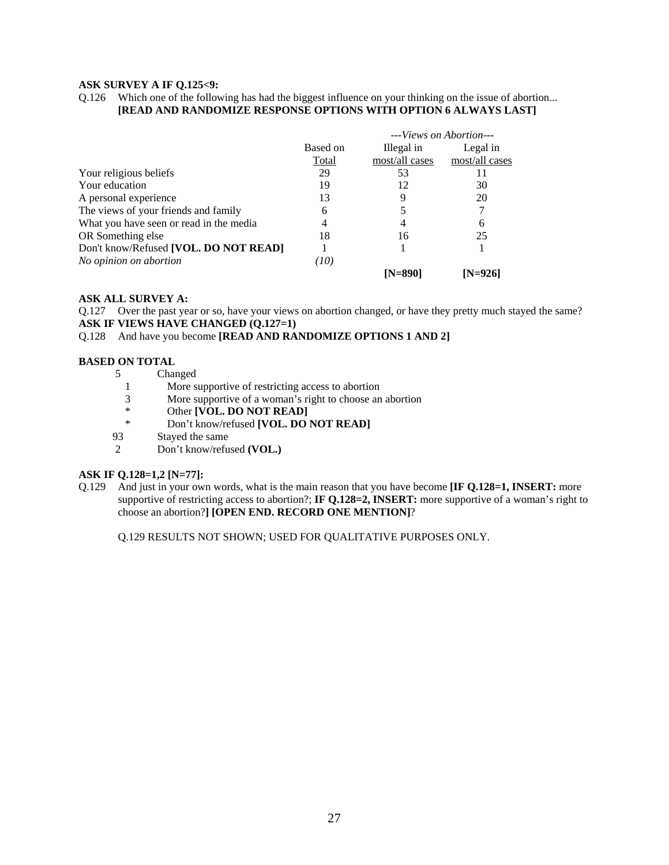#### **ASK SURVEY A IF Q.125<9:**

Q.126 Which one of the following has had the biggest influence on your thinking on the issue of abortion... **[READ AND RANDOMIZE RESPONSE OPTIONS WITH OPTION 6 ALWAYS LAST]**

|                                         |          |                | --- <i>Views on Abortion</i> --- |
|-----------------------------------------|----------|----------------|----------------------------------|
|                                         | Based on | Illegal in     | Legal in                         |
|                                         | Total    | most/all cases | most/all cases                   |
| Your religious beliefs                  | 29       | 53             |                                  |
| Your education                          | 19       | 12             | 30                               |
| A personal experience                   | 13       |                | 20                               |
| The views of your friends and family    | 6        |                |                                  |
| What you have seen or read in the media |          |                | 6                                |
| OR Something else                       | 18       | 16             | 25                               |
| Don't know/Refused [VOL. DO NOT READ]   |          |                |                                  |
| No opinion on abortion                  | (10)     |                |                                  |
|                                         |          | $[N=890]$      | IN=9261                          |

#### **ASK ALL SURVEY A:**

Q.127 Over the past year or so, have your views on abortion changed, or have they pretty much stayed the same? **ASK IF VIEWS HAVE CHANGED (Q.127=1)** 

#### Q.128 And have you become **[READ AND RANDOMIZE OPTIONS 1 AND 2]**

# **BASED ON TOTAL**<br>5 Chai

- **Changed**
- 1 More supportive of restricting access to abortion
- 3 More supportive of a woman's right to choose an abortion<br>
\* Other **IVOL DO NOT READ**
- \* Other **[VOL. DO NOT READ]**<br>Non't know/refused **[VOL\_DO**]
- Don't know/refused **[VOL. DO NOT READ]**
- 93 Stayed the same<br>2 Don't know/refu
- 2 Don't know/refused **(VOL.)**

#### **ASK IF Q.128=1,2 [N=77]:**

Q.129 And just in your own words, what is the main reason that you have become **[IF Q.128=1, INSERT:** more supportive of restricting access to abortion?; **IF Q.128=2, INSERT:** more supportive of a woman's right to choose an abortion?**] [OPEN END. RECORD ONE MENTION]**?

Q.129 RESULTS NOT SHOWN; USED FOR QUALITATIVE PURPOSES ONLY.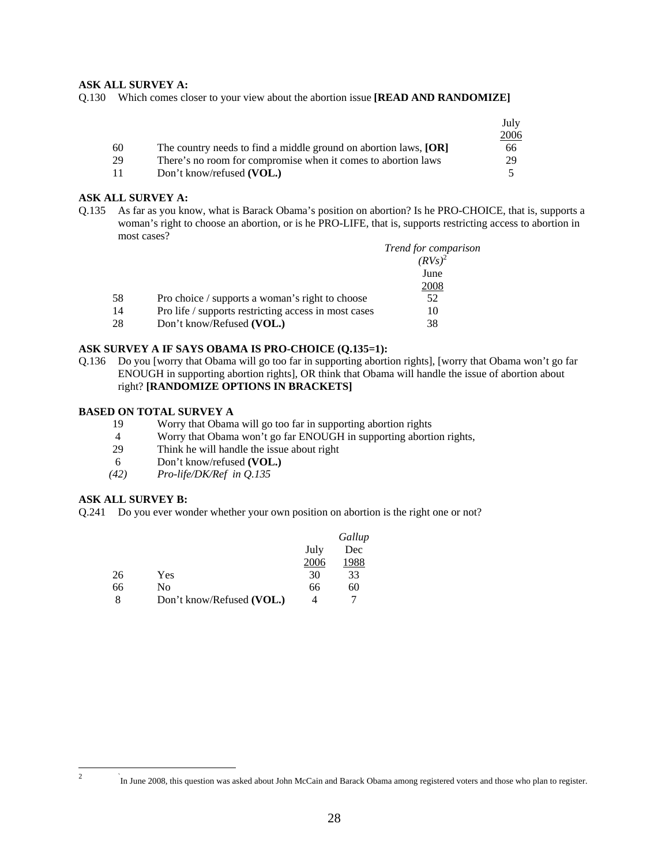#### **ASK ALL SURVEY A:**

Q.130 Which comes closer to your view about the abortion issue **[READ AND RANDOMIZE]** 

|    |                                                                  | July |
|----|------------------------------------------------------------------|------|
|    |                                                                  | 2006 |
| 60 | The country needs to find a middle ground on abortion laws, [OR] | 66   |
| 29 | There's no room for compromise when it comes to abortion laws    | 29   |
|    | Don't know/refused (VOL.)                                        |      |

#### **ASK ALL SURVEY A:**

Q.135 As far as you know, what is Barack Obama's position on abortion? Is he PRO-CHOICE, that is, supports a woman's right to choose an abortion, or is he PRO-LIFE, that is, supports restricting access to abortion in most cases?

|                                                      | Trend for comparison |
|------------------------------------------------------|----------------------|
|                                                      | $(RVs)^2$            |
|                                                      | June                 |
|                                                      | 2008                 |
| Pro choice / supports a woman's right to choose      | 52                   |
| Pro life / supports restricting access in most cases | 10                   |
| Don't know/Refused (VOL.)                            | 38                   |
|                                                      |                      |

#### **ASK SURVEY A IF SAYS OBAMA IS PRO-CHOICE (Q.135=1):**

Q.136 Do you [worry that Obama will go too far in supporting abortion rights], [worry that Obama won't go far ENOUGH in supporting abortion rights], OR think that Obama will handle the issue of abortion about right? **[RANDOMIZE OPTIONS IN BRACKETS]**

#### **BASED ON TOTAL SURVEY A**

- 19 Worry that Obama will go too far in supporting abortion rights
- 4 Worry that Obama won't go far ENOUGH in supporting abortion rights,
- 29 Think he will handle the issue about right
- 6 Don't know/refused **(VOL.)**
- *(42) Pro-life/DK/Ref in Q.135*

#### **ASK ALL SURVEY B:**

Q.241 Do you ever wonder whether your own position on abortion is the right one or not?

|    |                           |      | Gallup |
|----|---------------------------|------|--------|
|    |                           | July | Dec    |
|    |                           | 2006 | 1988   |
| 26 | Yes                       | 30   | 33     |
| 66 | No                        | 66   | 60     |
|    | Don't know/Refused (VOL.) | ⊿    |        |

In June 2008, this question was asked about John McCain and Barack Obama among registered voters and those who plan to register.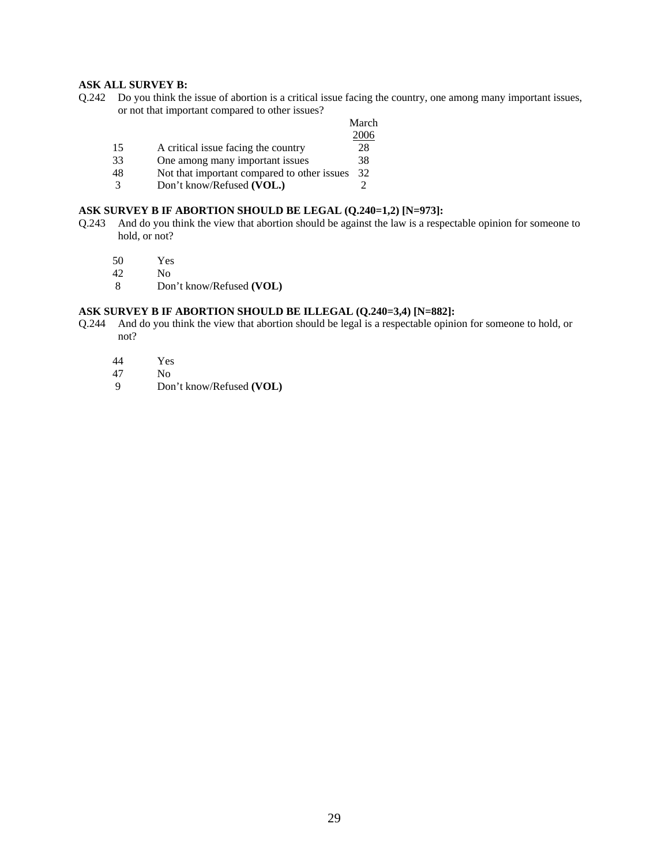#### **ASK ALL SURVEY B:**

Q.242 Do you think the issue of abortion is a critical issue facing the country, one among many important issues, or not that important compared to other issues?

|    |                                             | March |
|----|---------------------------------------------|-------|
|    |                                             | 2006  |
| 15 | A critical issue facing the country         | 28    |
| 33 | One among many important issues             | 38    |
| 48 | Not that important compared to other issues | 32    |
|    | Don't know/Refused (VOL.)                   |       |

#### **ASK SURVEY B IF ABORTION SHOULD BE LEGAL (Q.240=1,2) [N=973]:**

- Q.243 And do you think the view that abortion should be against the law is a respectable opinion for someone to hold, or not?
	- 50 Yes<br>42 No
	- N<sub>o</sub>
	- 8 Don't know/Refused **(VOL)**

#### **ASK SURVEY B IF ABORTION SHOULD BE ILLEGAL (Q.240=3,4) [N=882]:**

- Q.244 And do you think the view that abortion should be legal is a respectable opinion for someone to hold, or not?
	-
	- 44 Yes<br>47 No
	- 47 No<br>9 Dor 9 Don't know/Refused **(VOL)**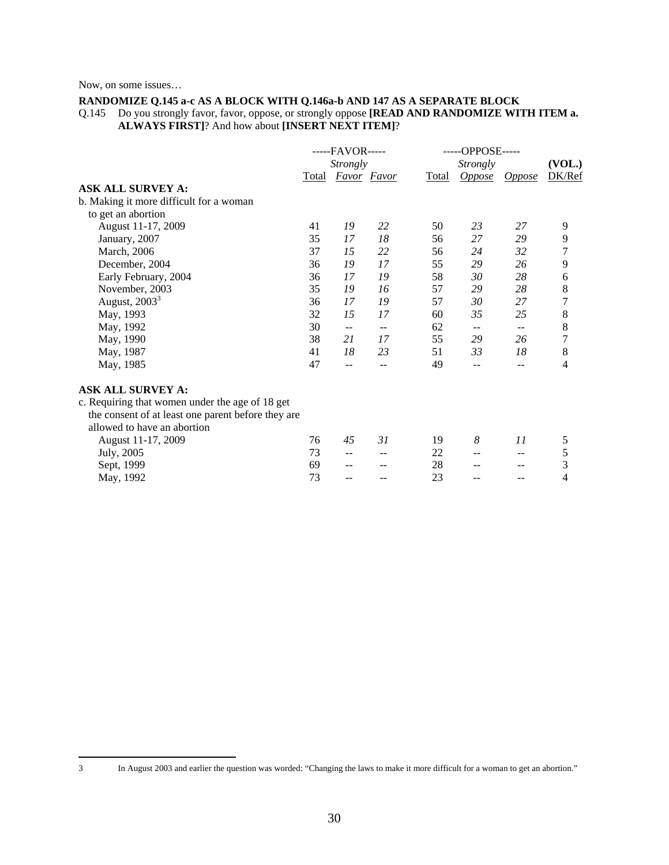Now, on some issues…

#### **RANDOMIZE Q.145 a-c AS A BLOCK WITH Q.146a-b AND 147 AS A SEPARATE BLOCK**

Q.145 Do you strongly favor, favor, oppose, or strongly oppose **[READ AND RANDOMIZE WITH ITEM a. ALWAYS FIRST]**? And how about **[INSERT NEXT ITEM]**?

|                                                    | -----FAVOR----- |                          |                          |       | -----OPPOSE----- |                          |        |
|----------------------------------------------------|-----------------|--------------------------|--------------------------|-------|------------------|--------------------------|--------|
|                                                    |                 | <i>Strongly</i>          |                          |       | <b>Strongly</b>  |                          |        |
|                                                    |                 | Total Favor Favor        |                          | Total |                  | Oppose Oppose            | DK/Ref |
| <b>ASK ALL SURVEY A:</b>                           |                 |                          |                          |       |                  |                          |        |
| b. Making it more difficult for a woman            |                 |                          |                          |       |                  |                          |        |
| to get an abortion                                 |                 |                          |                          |       |                  |                          |        |
| August 11-17, 2009                                 | 41              | 19                       | 22                       | 50    | 23               | 27                       | 9      |
| January, 2007                                      | 35              | 17                       | 18                       | 56    | 27               | 29                       | 9      |
| March, 2006                                        | 37              | 15                       | 22                       | 56    | 24               | 32                       | 7      |
| December, 2004                                     | 36              | 19                       | 17                       | 55    | 29               | 26                       | 9      |
| Early February, 2004                               | 36              | 17                       | 19                       | 58    | 30               | 28                       | 6      |
| November, 2003                                     | 35              | 19                       | 16                       | 57    | 29               | 28                       | 8      |
| August, $20033$                                    | 36              | 17                       | 19                       | 57    | 30               | 27                       | 7      |
| May, 1993                                          | 32              | 15                       | 17                       | 60    | 35               | 25                       | 8      |
| May, 1992                                          | 30              | $\overline{\phantom{m}}$ | $\overline{\phantom{m}}$ | 62    | $- -$            | $\overline{\phantom{m}}$ | 8      |
| May, 1990                                          | 38              | 21                       | 17                       | 55    | 29               | 26                       | 7      |
| May, 1987                                          | 41              | 18                       | 23                       | 51    | 33               | 18                       | 8      |
| May, 1985                                          | 47              | $\overline{\phantom{a}}$ | $- -$                    | 49    | --               | $-$                      | 4      |
| <b>ASK ALL SURVEY A:</b>                           |                 |                          |                          |       |                  |                          |        |
| c. Requiring that women under the age of 18 get    |                 |                          |                          |       |                  |                          |        |
| the consent of at least one parent before they are |                 |                          |                          |       |                  |                          |        |
| allowed to have an abortion                        |                 |                          |                          |       |                  |                          |        |
| August 11-17, 2009                                 | 76              | 45                       | 31                       | 19    | 8                | 11                       | 5      |
| July, 2005                                         | 73              | $-$                      | $-$                      | 22    | $-$              | --                       | 5      |
| Sept, 1999                                         | 69              | $\qquad \qquad -$        |                          | 28    |                  |                          | 3      |
| May, 1992                                          | 73              | $- -$                    |                          | 23    |                  |                          | 4      |
|                                                    |                 |                          |                          |       |                  |                          |        |

 $\overline{a}$ 

<sup>3</sup> In August 2003 and earlier the question was worded: "Changing the laws to make it more difficult for a woman to get an abortion."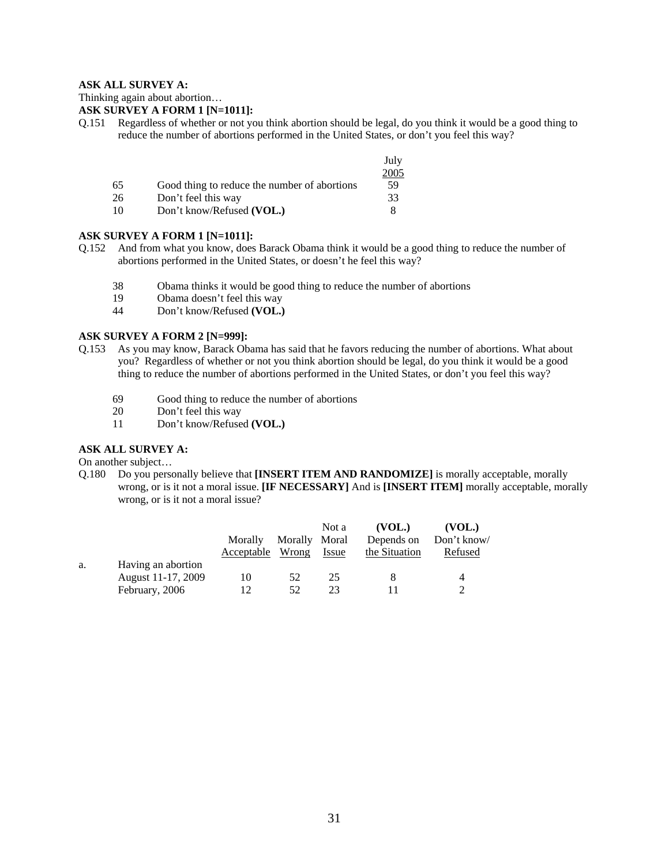#### **ASK ALL SURVEY A:**

Thinking again about abortion…

#### **ASK SURVEY A FORM 1 [N=1011]:**

Q.151 Regardless of whether or not you think abortion should be legal, do you think it would be a good thing to reduce the number of abortions performed in the United States, or don't you feel this way?

|    |                                              | July |
|----|----------------------------------------------|------|
|    |                                              | 2005 |
| 65 | Good thing to reduce the number of abortions | 59   |
| 26 | Don't feel this way                          | 33   |
| 10 | Don't know/Refused (VOL.)                    |      |

#### **ASK SURVEY A FORM 1 [N=1011]:**

- Q.152 And from what you know, does Barack Obama think it would be a good thing to reduce the number of abortions performed in the United States, or doesn't he feel this way?
	- 38 Obama thinks it would be good thing to reduce the number of abortions
	- 19 Obama doesn't feel this way
	- 44 Don't know/Refused **(VOL.)**

#### **ASK SURVEY A FORM 2 [N=999]:**

- Q.153 As you may know, Barack Obama has said that he favors reducing the number of abortions. What about you? Regardless of whether or not you think abortion should be legal, do you think it would be a good thing to reduce the number of abortions performed in the United States, or don't you feel this way?
	- 69 Good thing to reduce the number of abortions
	- 20 Don't feel this way
	- 11 Don't know/Refused **(VOL.)**

#### **ASK ALL SURVEY A:**

On another subject…

Q.180 Do you personally believe that **[INSERT ITEM AND RANDOMIZE]** is morally acceptable, morally wrong, or is it not a moral issue. **[IF NECESSARY]** And is **[INSERT ITEM]** morally acceptable, morally wrong, or is it not a moral issue?

|    |                    |            |               | Not a        | (VOL.)        | (VOL.)      |
|----|--------------------|------------|---------------|--------------|---------------|-------------|
|    |                    | Morally    | Morally Moral |              | Depends on    | Don't know/ |
|    |                    | Acceptable | Wrong         | <i>Issue</i> | the Situation | Refused     |
| a. | Having an abortion |            |               |              |               |             |
|    | August 11-17, 2009 | 10         | 52            | 25           |               | 4           |
|    | February, 2006     | 12         | 52.           | 23           |               |             |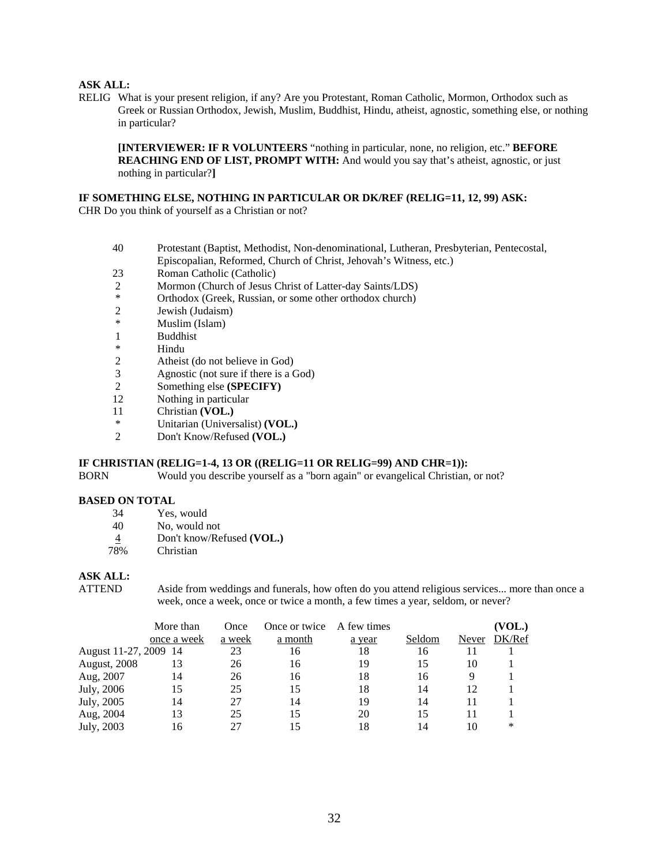#### **ASK ALL:**

RELIG What is your present religion, if any? Are you Protestant, Roman Catholic, Mormon, Orthodox such as Greek or Russian Orthodox, Jewish, Muslim, Buddhist, Hindu, atheist, agnostic, something else, or nothing in particular?

**[INTERVIEWER: IF R VOLUNTEERS** "nothing in particular, none, no religion, etc." **BEFORE REACHING END OF LIST, PROMPT WITH:** And would you say that's atheist, agnostic, or just nothing in particular?**]** 

#### **IF SOMETHING ELSE, NOTHING IN PARTICULAR OR DK/REF (RELIG=11, 12, 99) ASK:**

CHR Do you think of yourself as a Christian or not?

- 40 Protestant (Baptist, Methodist, Non-denominational, Lutheran, Presbyterian, Pentecostal, Episcopalian, Reformed, Church of Christ, Jehovah's Witness, etc.)
- 23 Roman Catholic (Catholic)
- 2 Mormon (Church of Jesus Christ of Latter-day Saints/LDS)
- \* Orthodox (Greek, Russian, or some other orthodox church)<br>2 Jewish (Judaism)
- Jewish (Judaism)
- \* Muslim (Islam)
- 1 Buddhist<br>\* Hindu
- **Hindu**
- 2 Atheist (do not believe in God)
- 3 Agnostic (not sure if there is a God)<br>2 Something else (SPECIFY)
- 2 Something else **(SPECIFY)**
- 12 Nothing in particular
- 11 Christian **(VOL.)**
- \* Unitarian (Universalist) **(VOL.)**
- 2 Don't Know/Refused **(VOL.)**

#### **IF CHRISTIAN (RELIG=1-4, 13 OR ((RELIG=11 OR RELIG=99) AND CHR=1)):**

BORN Would you describe yourself as a "born again" or evangelical Christian, or not?

#### **BASED ON TOTAL**

- 34 Yes, would
- 40 No, would not
- 4 Don't know/Refused **(VOL.)**
- 78% Christian

#### **ASK ALL:**

ATTEND Aside from weddings and funerals, how often do you attend religious services... more than once a week, once a week, once or twice a month, a few times a year, seldom, or never?

|                       | More than   | Once   | Once or twice | A few times |        |       | (VOL.) |
|-----------------------|-------------|--------|---------------|-------------|--------|-------|--------|
|                       | once a week | a week | a month       | a year      | Seldom | Never | DK/Ref |
| August 11-27, 2009 14 |             | 23     | 16            | 18          | 16     |       |        |
| August, 2008          | 13          | 26     | 16            | 19          | 15     | 10    |        |
| Aug, 2007             | 14          | 26     | 16            | 18          | 16     | 9     |        |
| July, 2006            | 15          | 25     | 15            | 18          | 14     | 12    |        |
| July, 2005            | 14          | 27     | 14            | 19          | 14     |       |        |
| Aug, 2004             | 13          | 25     | 15            | 20          | 15     |       |        |
| July, 2003            | 16          | 27     | 15            | 18          | 14     | 10    | *      |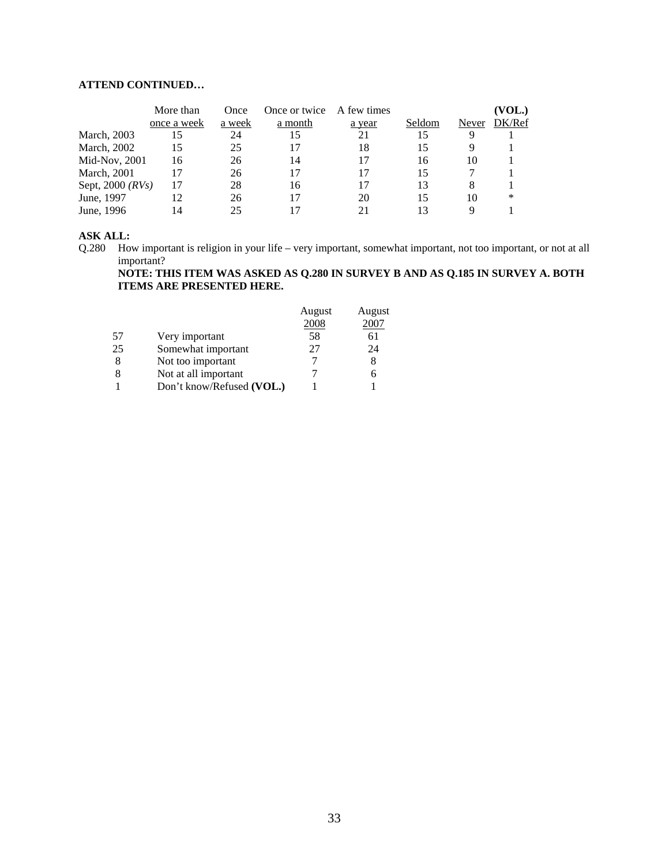# **ATTEND CONTINUED…**

|                        | More than   | Once   | Once or twice | A few times |        |       | (VOL.) |
|------------------------|-------------|--------|---------------|-------------|--------|-------|--------|
|                        | once a week | a week | a month       | a year      | Seldom | Never | DK/Ref |
| March, 2003            | 15          | 24     | 15            | 21          | 15     | 9     |        |
| March, 2002            | 15          | 25     | 17            | 18          | 15     |       |        |
| Mid-Nov, 2001          | 16          | 26     | 14            |             | 16     | 10    |        |
| <b>March</b> , 2001    | 17          | 26     | 17            |             | 15     |       |        |
| Sept, $2000$ ( $RVs$ ) | 17          | 28     | 16            |             | 13     | 8     |        |
| June, 1997             | 12          | 26     | 17            | 20          | 15     | 10    | *      |
| June, 1996             | 14          | 25     |               |             | 13     |       |        |

#### **ASK ALL:**

Q.280 How important is religion in your life – very important, somewhat important, not too important, or not at all important?

**NOTE: THIS ITEM WAS ASKED AS Q.280 IN SURVEY B AND AS Q.185 IN SURVEY A. BOTH ITEMS ARE PRESENTED HERE.** 

|    |                           | August | August |
|----|---------------------------|--------|--------|
|    |                           | 2008   | 2007   |
| 57 | Very important            | 58     | 61     |
| 25 | Somewhat important        | 27     | 24     |
| 8  | Not too important         |        |        |
| 8  | Not at all important      |        | h      |
|    | Don't know/Refused (VOL.) |        |        |
|    |                           |        |        |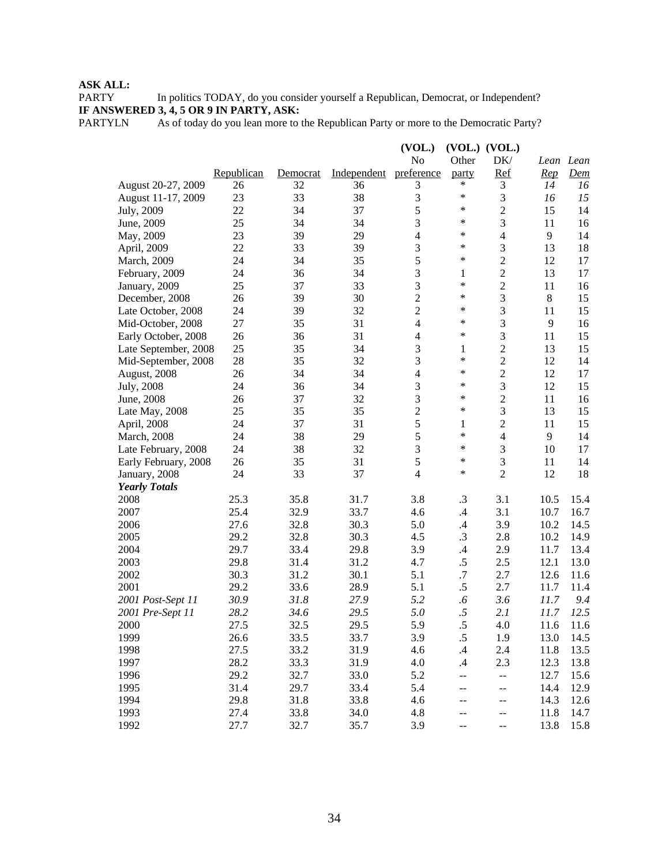# **ASK ALL:**

PARTY In politics TODAY, do you consider yourself a Republican, Democrat, or Independent? **IF ANSWERED 3, 4, 5 OR 9 IN PARTY, ASK:**

PARTYLN As of today do you lean more to the Republican Party or more to the Democratic Party?

|                      |            |          |             | (VOL.)         |               | $(VOL.)$ $(VOL.)$ |              |                            |
|----------------------|------------|----------|-------------|----------------|---------------|-------------------|--------------|----------------------------|
|                      |            |          |             | No             | Other         | DK/               |              | Lean Lean                  |
|                      | Republican | Democrat | Independent | preference     | party         | <b>Ref</b>        | Rep          | $\underline{\mathit{Dem}}$ |
| August 20-27, 2009   | 26         | 32       | 36          | 3              | ∗             | 3                 | 14           | 16                         |
| August 11-17, 2009   | 23         | 33       | 38          | $\mathfrak{Z}$ | *             | 3                 | 16           | 15                         |
| July, 2009           | 22         | 34       | 37          | 5              | ∗             | $\overline{c}$    | 15           | 14                         |
| June, 2009           | 25         | 34       | 34          | 3              | $\ast$        | 3                 | 11           | 16                         |
| May, 2009            | 23         | 39       | 29          | $\overline{4}$ | $\ast$        | 4                 | $\mathbf{9}$ | 14                         |
| April, 2009          | 22         | 33       | 39          | 3              | ∗             | 3                 | 13           | 18                         |
| March, 2009          | 24         | 34       | 35          | 5              | $\ast$        | $\overline{c}$    | 12           | 17                         |
| February, 2009       | 24         | 36       | 34          | $\mathfrak 3$  | 1             | $\overline{c}$    | 13           | 17                         |
| January, 2009        | 25         | 37       | 33          | $\mathfrak{Z}$ | $\ast$        | $\overline{c}$    | 11           | 16                         |
| December, 2008       | 26         | 39       | 30          | $\sqrt{2}$     | *             | 3                 | $\,8\,$      | 15                         |
| Late October, 2008   | 24         | 39       | 32          | $\overline{2}$ | $\ast$        | 3                 | 11           | 15                         |
| Mid-October, 2008    | 27         | 35       | 31          | 4              | $\ast$        | 3                 | 9            | 16                         |
| Early October, 2008  | 26         | 36       | 31          | $\overline{4}$ | $\ast$        | 3                 | 11           | 15                         |
| Late September, 2008 | 25         | 35       | 34          | 3              | 1             | $\overline{c}$    | 13           | 15                         |
| Mid-September, 2008  | 28         | 35       | 32          | 3              | $\ast$        | $\overline{c}$    | 12           | 14                         |
| August, 2008         | 26         | 34       | 34          | $\overline{4}$ | $\ast$        | $\overline{c}$    | 12           | 17                         |
| July, 2008           | 24         | 36       | 34          | $\mathfrak{Z}$ | $\ast$        | 3                 | 12           | 15                         |
| June, 2008           | 26         | 37       | 32          | 3              | ∗             | $\overline{c}$    | 11           | 16                         |
| Late May, 2008       | 25         | 35       | 35          | $\overline{c}$ | $\ast$        | 3                 | 13           | 15                         |
| April, 2008          | 24         | 37       | 31          | 5              | 1             | $\overline{c}$    | 11           | 15                         |
| March, 2008          | 24         | 38       | 29          | 5              | $\ast$        | $\overline{4}$    | 9            | 14                         |
| Late February, 2008  | 24         | 38       | 32          | 3              | $\ast$        | 3                 | 10           | 17                         |
| Early February, 2008 | 26         | 35       | 31          | 5              | $\ast$        | 3                 | 11           | 14                         |
| January, 2008        | 24         | 33       | 37          | $\overline{4}$ | $\ast$        | $\overline{2}$    | 12           | 18                         |
| <b>Yearly Totals</b> |            |          |             |                |               |                   |              |                            |
| 2008                 | 25.3       | 35.8     | 31.7        | 3.8            | .3            | 3.1               | 10.5         | 15.4                       |
| 2007                 | 25.4       | 32.9     | 33.7        | 4.6            | $\mathcal{A}$ | 3.1               | 10.7         | 16.7                       |
| 2006                 | 27.6       | 32.8     | 30.3        | 5.0            | $\cdot$ 4     | 3.9               | 10.2         | 14.5                       |
| 2005                 | 29.2       | 32.8     | 30.3        | 4.5            | .3            | 2.8               | 10.2         | 14.9                       |
| 2004                 | 29.7       | 33.4     | 29.8        | 3.9            | $\mathcal{A}$ | 2.9               | 11.7         | 13.4                       |
| 2003                 | 29.8       | 31.4     | 31.2        | 4.7            | $.5\,$        | 2.5               | 12.1         | 13.0                       |
| 2002                 | 30.3       | 31.2     | 30.1        | 5.1            | $.7\,$        | 2.7               | 12.6         | 11.6                       |
| 2001                 | 29.2       | 33.6     | 28.9        | 5.1            | $.5\,$        | 2.7               | 11.7         | 11.4                       |
| 2001 Post-Sept 11    | 30.9       | 31.8     | 27.9        | 5.2            | .6            | 3.6               | 11.7         | 9.4                        |
| 2001 Pre-Sept 11     | 28.2       | 34.6     | 29.5        | 5.0            | .5            | 2.1               | 11.7         | 12.5                       |
| 2000                 | 27.5       | 32.5     | 29.5        | 5.9            | .5            | 4.0               | 11.6         | 11.6                       |
| 1999                 | 26.6       | 33.5     | 33.7        | 3.9            | $.5\,$        | 1.9               | 13.0         | 14.5                       |
| 1998                 | 27.5       | 33.2     | 31.9        | 4.6            | $\cdot$       | 2.4               | 11.8         | 13.5                       |
| 1997                 | 28.2       | 33.3     | 31.9        | 4.0            | $\cdot$       | 2.3               | 12.3         | 13.8                       |
| 1996                 | 29.2       | 32.7     | 33.0        | 5.2            | --            |                   | 12.7         | 15.6                       |
| 1995                 | 31.4       | 29.7     | 33.4        | 5.4            |               |                   | 14.4         | 12.9                       |
| 1994                 | 29.8       | 31.8     | 33.8        | 4.6            | --            | --                | 14.3         | 12.6                       |
| 1993                 | 27.4       | 33.8     | 34.0        | 4.8            | --            | --                | 11.8         | 14.7                       |
| 1992                 | 27.7       | 32.7     | 35.7        | 3.9            | --            |                   | 13.8         | 15.8                       |